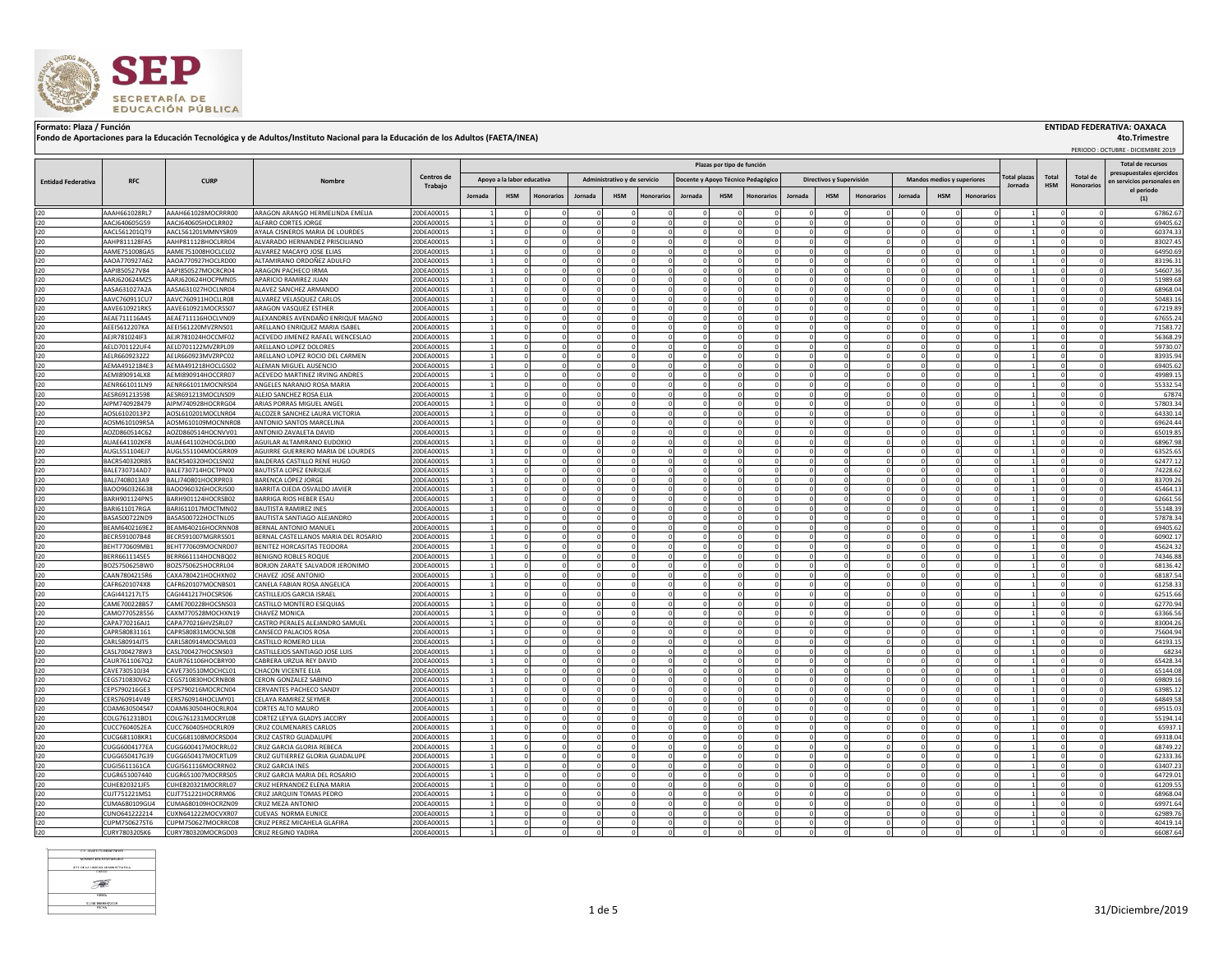

## Formato: Plaza / Función **ENTIDAD FEDERATIVA: OAXACA (INSTITUA) ENTIDAD FEDERATIVA: OAXACA**<br>Fondo de Aportaciones para la Educación Tecnológica y de Adultos/Instituto Nacional para la Educación de los Adultos (FAETA/INEA)

 PERIODO : OCTUBRE - DICIEMBRE 2019  **4to.Trimestre**

|                           |                                |                                          |                                                          |                          |         |                            |                          |                      |                              |                      |         |                           |                                    |                          |                          |                      |         |                            |                        |                                |                         |                                      | PERICULI CILIUSRE - DICIEMBRE 2019                   |
|---------------------------|--------------------------------|------------------------------------------|----------------------------------------------------------|--------------------------|---------|----------------------------|--------------------------|----------------------|------------------------------|----------------------|---------|---------------------------|------------------------------------|--------------------------|--------------------------|----------------------|---------|----------------------------|------------------------|--------------------------------|-------------------------|--------------------------------------|------------------------------------------------------|
|                           |                                |                                          |                                                          |                          |         |                            |                          |                      |                              |                      |         | Plazas por tipo de funció |                                    |                          |                          |                      |         |                            |                        |                                |                         |                                      | <b>Total de recursos</b><br>presupuestales eiercidos |
| <b>Entidad Federativa</b> | <b>RFC</b>                     | <b>CURP</b>                              | Nombre                                                   | Centros de<br>Trabajo    |         | Apoyo a la labor educativa |                          |                      | Administrativo y de servicio |                      |         |                           | Docente y Apovo Técnico Pedagógico |                          | Directivos y Supervisión |                      |         | Mandos medios y superiores |                        | <b>Total plazas</b><br>Jornada | Total<br><b>HSM</b>     | <b>Total de</b><br><b>Honorarios</b> | en servicios personales er                           |
|                           |                                |                                          |                                                          |                          | Jornada | <b>HSM</b>                 | <b>Honorarios</b>        | Jornada              | <b>HSM</b>                   | <b>Honorario</b>     | Jornada | <b>HSM</b>                |                                    | Jornada                  | <b>HSM</b>               | Honorarios           | lornada | <b>HSM</b>                 | Honorario              |                                |                         |                                      | el periodo<br>(1)                                    |
| 120                       | AAAH661028RL7                  | AAAH661028MOCRRR00                       | ARAGON ARANGO HERMELINDA EMELIA                          | 20DEA0001S               |         |                            | $\Omega$                 |                      |                              |                      |         |                           |                                    |                          |                          |                      |         |                            |                        |                                |                         |                                      | 67862.6                                              |
| 120                       | AACJ640605G59                  | AACJ640605HOCLRR02                       | ALFARO CORTES JORGE                                      | 20DEA0001S               |         |                            | $\Omega$                 |                      |                              |                      |         |                           |                                    |                          |                          |                      |         |                            |                        |                                |                         |                                      | 69405.6                                              |
| 120                       | AACL561201OT9                  | AACL561201MMNYSR09                       | AYALA CISNEROS MARIA DE LOURDES                          | 20DEA0001S               |         |                            | $\Omega$                 |                      |                              |                      |         |                           |                                    |                          |                          | $\Omega$             |         | $\Omega$                   |                        |                                |                         |                                      | 60374.33                                             |
| 120                       | AAHP811128FA5                  | AAHP811128HOCLRR04                       | ALVARADO HERNANDEZ PRISCILIANO                           | 20DEA0001S               |         |                            | $\Omega$                 |                      |                              | $\Omega$             |         |                           |                                    | $\Omega$                 |                          | $\Omega$             |         | $\Omega$                   | $\Omega$               |                                |                         |                                      | 83027.45                                             |
| 120                       | AAME751008GA5                  | AAME751008HOCLCL02                       | ALVAREZ MACAYO JOSE ELIAS                                | 20DEA0001S               |         |                            | $\Omega$                 |                      |                              | $\Omega$             |         |                           |                                    | $\Omega$                 |                          | $\Omega$             |         | $\Omega$                   | $\Omega$               |                                |                         |                                      | 64950.6                                              |
| 120                       | AAOA770927A62                  | AAOA770927HOCLRD00                       | ALTAMIRANO ORDOÑEZ ADULFO                                | 20DEA0001S               |         |                            | $^{\circ}$               |                      |                              |                      |         |                           |                                    |                          |                          |                      |         |                            |                        |                                |                         |                                      | 83196.33                                             |
| 120<br>120                | AAPI850527V84                  | AAPI850527MOCRCR04                       | ARAGON PACHECO IRMA                                      | 20DEA0001S               |         |                            | $\mathbf{0}$<br>$\Omega$ |                      |                              | $\Omega$<br>$\Omega$ |         |                           |                                    | $\mathbf{0}$<br>$\Omega$ |                          | $\Omega$<br>$\Omega$ |         | $^{\circ}$<br>$\Omega$     | $^{\circ}$<br>$\Omega$ |                                | $\mathbf 0$<br>$\Omega$ | $\mathbf 0$<br>$\Omega$              | 54607.36                                             |
| 120                       | AARJ620624MZ5<br>AASA631027A2A | AARJ620624HOCPMN05<br>AASA631027HOCLNR04 | APARICIO RAMIREZ JUAN<br>ALAVEZ SANCHEZ ARMANDO          | 20DEA0001S<br>20DEA0001S |         |                            | $\Omega$                 |                      |                              |                      |         |                           |                                    |                          |                          |                      |         |                            |                        |                                |                         |                                      | 51989.68<br>68968.04                                 |
| 120                       | AAVC760911CU7                  | AAVC760911HOCLLR08                       | ALVAREZ VELASQUEZ CARLOS                                 | 20DEA0001S               |         |                            | $\Omega$                 |                      |                              | $\Omega$             |         |                           |                                    | $\Omega$                 |                          | $\Omega$             |         | $\Omega$                   | $\Omega$               |                                | $\Omega$                | $\Omega$                             | 50483.16                                             |
| 120                       | AAVE610921RK5                  | AAVE610921MOCRSS07                       | ARAGON VASQUEZ ESTHER                                    | 20DEA0001S               |         |                            | $\Omega$                 |                      |                              | $\Omega$             |         |                           |                                    | $\sqrt{2}$               |                          | $\Omega$             |         | $\Omega$                   | $\Omega$               |                                | $\Omega$                | $\Omega$                             | 67219.89                                             |
| 120                       | AEAE711116A45                  | AEAE711116HOCLVN09                       | ALEXANDRES AVENDAÑO ENRIQUE MAGNO                        | 20DEA0001S               |         |                            | $\Omega$                 |                      |                              |                      |         |                           |                                    |                          |                          | $\Omega$             |         | $\Omega$                   |                        |                                |                         |                                      | 67655.24                                             |
| 120                       | AEEI5612207KA                  | AEEI561220MVZRNS01                       | ARELLANO ENRIQUEZ MARIA ISABEL                           | 20DEA0001S               |         |                            | $\mathbf 0$              |                      |                              |                      |         |                           |                                    |                          |                          |                      |         |                            |                        |                                |                         |                                      | 71583.72                                             |
| 120                       | AEJR781024IF3                  | AEJR781024HOCCMF02                       | ACEVEDO JIMENEZ RAFAEL WENCESLAO                         | 20DEA0001S               |         |                            | $\Omega$                 |                      |                              |                      |         |                           |                                    |                          |                          |                      |         |                            |                        |                                |                         |                                      | 56368.29                                             |
| 120                       | AELD701122UF4                  | AELD701122MVZRPL09                       | ARELLANO LOPEZ DOLORES                                   | 20DEA0001S               |         |                            |                          |                      |                              |                      |         |                           |                                    |                          |                          |                      |         |                            |                        |                                |                         |                                      | 59730.0                                              |
| 120                       | AELR6609232Z2                  | AELR660923MVZRPC02                       | ARELLANO LOPEZ ROCIO DEL CARMEN                          | 20DEA0001S               |         |                            | $\Omega$                 |                      |                              | $\Omega$             |         |                           |                                    | $\Omega$                 |                          | -C                   |         | $\Omega$                   | $\Omega$               |                                |                         |                                      | 83935.94<br>69405.62                                 |
| 120<br>120                | AEMA4912184E3<br>AEMI890914LX8 | AEMA491218HOCLGS02<br>AEMI890914HOCCRR07 | ALEMAN MIGUEL AUSENCIO<br>ACEVEDO MARTINEZ IRVING ANDRES | 20DEA0001S<br>20DEA0001S |         |                            | $\Omega$<br>$\Omega$     | $\Omega$<br>$\Omega$ |                              | $\Omega$<br>$\Omega$ |         |                           |                                    | $\Omega$<br>$\Omega$     |                          | $\Omega$<br>$\Omega$ |         | $\Omega$<br>$\Omega$       | $\Omega$<br>$\Omega$   |                                | $\Omega$<br>$\Omega$    |                                      | 49989.1                                              |
| 120                       | AENR661011LN9                  | AENR661011MOCNRS04                       | ANGELES NARANJO ROSA MARIA                               | 20DEA0001S               |         |                            | $\mathbf 0$              |                      |                              | $\Omega$             |         |                           |                                    | $\mathbf{0}$             |                          | $\Omega$             |         | $^{\circ}$                 | $^{\circ}$             |                                | $\mathbf 0$             |                                      | 55332.54                                             |
| 120                       | AESR691213598                  | AESR691213MOCLNS09                       | ALEJO SANCHEZ ROSA ELIA                                  | 20DEA0001S               |         |                            | $\mathbf{0}$             |                      |                              | $\Omega$             |         |                           |                                    | $\Omega$                 |                          | $\Omega$             |         | $\Omega$                   | $\Omega$               |                                | $\mathbf 0$             |                                      | 67874                                                |
| 120                       | AIPM740928479                  | AIPM740928HOCRRG04                       | ARIAS PORRAS MIGUEL ANGEL                                | 20DEA0001S               |         |                            | $\Omega$                 |                      |                              |                      |         |                           |                                    |                          |                          |                      |         |                            |                        |                                |                         |                                      | 57803.34                                             |
| 120                       | AOSL6102013P2                  | AOSL610201MOCLNR04                       | ALCOZER SANCHEZ LAURA VICTORIA                           | 20DEA0001S               |         |                            | $\Omega$                 |                      |                              | $\Omega$             |         |                           |                                    |                          |                          | $\Omega$             |         | $\Omega$                   | $\Omega$               |                                | $\Omega$                |                                      | 64330.14                                             |
| 120                       | AOSM610109R5A                  | AOSM610109MOCNNR08                       | ANTONIO SANTOS MARCELINA                                 | 20DEA0001S               |         |                            | $\Omega$                 |                      |                              | $\Omega$             |         |                           |                                    | $\Omega$                 |                          | $\Omega$             |         | $\Omega$                   |                        |                                | $\Omega$                | $\Omega$                             | 69624.44                                             |
| 120                       | AOZD860514C62                  | AOZD860514HOCNVV01                       | ANTONIO ZAVALETA DAVID                                   | 20DEA0001S               |         |                            | $\Omega$                 |                      |                              | $\Omega$             |         |                           |                                    |                          |                          | $\Omega$             |         | $\sim$                     |                        |                                | $\Omega$                | $\Omega$                             | 65019.85                                             |
| 120                       | AUAE641102KF8                  | AUAE641102HOCGLD00                       | AGUILAR ALTAMIRANO EUDOXIO                               | 20DEA0001S               |         |                            | $\Omega$                 |                      |                              |                      |         |                           |                                    |                          |                          |                      |         |                            |                        |                                |                         |                                      | 68967.9                                              |
| 120                       | AUGL551104EJ7                  | AUGL551104MOCGRR09                       | AGUIRRE GUERRERO MARIA DE LOURDES                        | 20DEA0001S               |         |                            | $\Omega$                 |                      |                              |                      |         |                           |                                    |                          |                          |                      |         |                            |                        |                                | $\Omega$                |                                      | 63525.6                                              |
| 120                       | 3ACR540320RB5                  | BACR540320HOCLSN02                       | BALDERAS CASTILLO RENE HUGO                              | 20DEA0001S               |         |                            |                          |                      |                              |                      |         |                           |                                    |                          |                          |                      |         |                            |                        |                                |                         |                                      | 62477.1                                              |
| 120                       | BALE730714AD7<br>BALJ7408013A9 | BALE730714HOCTPN00<br>BALJ740801HOCRPR03 | <b>BAUTISTA LOPEZ ENRIQUE</b><br>BARENCA LÓPEZ JORGE     | 20DEA0001S               |         |                            | $\Omega$<br>$\Omega$     | $\Omega$             |                              | $\Omega$<br>$\Omega$ |         |                           |                                    | $\Omega$                 |                          | $\Omega$<br>$\Omega$ |         | $\Omega$<br>$\Omega$       | $\Omega$<br>$\Omega$   |                                | $\Omega$                | $\Omega$                             | 74228.62<br>83709.26                                 |
| 120<br>120                | BAOO960326638                  | BAOO960326HOCRJS00                       | BARRITA OJEDA OSVALDO JAVIER                             | 20DEA0001S<br>20DEA0001S |         |                            | $\Omega$                 |                      |                              | $\Omega$             |         |                           |                                    | $\Omega$                 |                          | $\Omega$             |         | $\Omega$                   | $\Omega$               |                                |                         |                                      | 45464.1                                              |
| 120                       | BARH901124PN5                  | BARH901124HOCRSB02                       | BARRIGA RIOS HEBER ESAU                                  | 20DEA0001S               |         |                            | $\mathbf 0$              |                      |                              | $\Omega$             |         |                           |                                    | $\mathbf{0}$             |                          | $\Omega$             |         | $^{\circ}$                 | $\Omega$               |                                | $\Omega$                | $\mathbf 0$                          | 62661.56                                             |
| 120                       | BARI611017RGA                  | BARI611017MOCTMN02                       | <b>BAUTISTA RAMIREZ INES</b>                             | 20DEA0001S               |         |                            | $\circ$                  |                      |                              | $\Omega$             |         |                           |                                    | $\mathbf{0}$             |                          | $\Omega$             |         | $\Omega$                   | $\Omega$               |                                | $\Omega$                | $\mathbf 0$                          | 55148.39                                             |
| 120                       | BASA500722ND9                  | BASA500722HOCTNL05                       | BAUTISTA SANTIAGO ALEJANDRO                              | 20DEA0001S               |         |                            | $\mathbf{0}$             |                      |                              | $\Omega$             |         |                           |                                    | $\mathbf{0}$             |                          | $\Omega$             |         | $^{\circ}$                 | $\Omega$               |                                | $\mathbf{0}$            | $\mathbf{0}$                         | 57878.34                                             |
| 120                       | BEAM6402169E2                  | BEAM640216HOCRNN08                       | BERNAL ANTONIO MANUEL                                    | 20DEA0001S               |         |                            | $\Omega$                 |                      |                              | $\Omega$             |         |                           |                                    | $\Omega$                 |                          | $\Omega$             |         | $\Omega$                   | $\Omega$               |                                | $\Omega$                | $\Omega$                             | 69405.62                                             |
| 120                       | BECR591007B48                  | BECR591007MGRRSS01                       | BERNAL CASTELLANOS MARIA DEL ROSARIO                     | 20DEA0001S               |         |                            | $\Omega$                 |                      |                              | $\Omega$             |         |                           |                                    | $\Omega$                 |                          | $\Omega$             |         | $\Omega$                   | $\Omega$               |                                | $\Omega$                | $\Omega$                             | 60902.17                                             |
| 120                       | BEHT770609MB1                  | BEHT770609MOCNRD07                       | BENITEZ HORCASITAS TEODORA                               | 20DEA0001S               |         |                            | $\Omega$                 |                      |                              | $\Omega$             |         |                           |                                    | $\Omega$                 |                          | $\Omega$             |         | $\Omega$                   | $\Omega$               |                                | $\Omega$                | $\Omega$                             | 45624.32                                             |
| 120                       | BERR661114SE5                  | BERR661114HOCNBQ02                       | BENIGNO ROBLES ROQUE                                     | 20DEA0001S               |         |                            | $\Omega$                 |                      |                              |                      |         |                           |                                    |                          |                          |                      |         |                            |                        |                                |                         |                                      | 74346.88                                             |
| 120                       | BOZS750625BW0                  | BOZS750625HOCRRL04                       | BORJON ZARATE SALVADOR JERONIMO                          | 20DEA0001S               |         |                            | $\Omega$<br>$\Omega$     |                      |                              |                      |         |                           |                                    |                          |                          |                      |         | $\Omega$<br>$\Omega$       |                        |                                | $\Omega$                |                                      | 68136.42                                             |
| 120<br>120                | CAAN7804215R6<br>CAFR6201074X8 | CAXA780421HOCHXN02<br>CAFR620107MOCNBS01 | CHAVEZ JOSE ANTONIO<br>CANELA FABIAN ROSA ANGELICA       | 20DEA0001S<br>20DEA0001S |         |                            |                          |                      |                              |                      |         |                           |                                    |                          |                          |                      |         |                            |                        |                                |                         |                                      | 68187.54<br>61258.3                                  |
| 120                       | CAGI441217LT5                  | CAGI441217HOCSRS06                       | CASTILLEJOS GARCIA ISRAEL                                | 20DEA0001S               |         |                            | $\Omega$                 |                      |                              |                      |         |                           |                                    |                          |                          |                      |         | $\Omega$                   | $\Omega$               |                                |                         |                                      | 62515.66                                             |
| 120                       | CAME700228B57                  | CAME700228HOCSNS03                       | CASTILLO MONTERO ESEQUIAS                                | 20DEA0001S               |         |                            | $\Omega$                 | $\Omega$             |                              | $\Omega$             |         |                           |                                    | $\Omega$                 |                          | $\Omega$             |         | $\Omega$                   | $\Omega$               |                                | $\Omega$                |                                      | 62770.94                                             |
| 120                       | CAMO770528556                  | CAXM770528MOCHXN19                       | CHAVEZ MONICA                                            | 20DEA0001S               |         |                            | $\mathbf 0$              |                      |                              | $\Omega$             |         |                           |                                    | $\Omega$                 |                          |                      |         | $\Omega$                   | $\Omega$               |                                |                         |                                      | 63366.5                                              |
| 120                       | CAPA770216AJ1                  | CAPA770216HVZSRL07                       | CASTRO PERALES ALEJANDRO SAMUEL                          | 20DEA0001S               |         |                            | $\mathbf 0$              |                      |                              | $\Omega$             |         |                           |                                    | $\Omega$                 |                          | $\Omega$             |         | $\Omega$                   | $\Omega$               |                                | $\Omega$                |                                      | 83004.26                                             |
| 120                       | CAPR580831161                  | CAPR580831MOCNLS08                       | CANSECO PALACIOS ROSA                                    | 20DEA0001S               |         |                            | $\mathbf{0}$             |                      |                              | $\Omega$             |         |                           |                                    | $\Omega$                 |                          | $\Omega$             |         | $\Omega$                   | $\Omega$               |                                | $\mathbf 0$             |                                      | 75604.94                                             |
| 120                       | CARL580914JT5                  | CARL580914MOCSML03                       | CASTILLO ROMERO LILIA                                    | 20DEA0001S               |         |                            | $\Omega$                 |                      |                              |                      |         |                           |                                    |                          |                          |                      |         |                            |                        |                                |                         |                                      | 64193.1                                              |
| 120                       | CASL7004278W3                  | CASL700427HOCSNS03                       | CASTILLEJOS SANTIAGO JOSE LUIS                           | 20DEA0001S               |         |                            | $\Omega$                 |                      |                              | $\Omega$<br>$\Omega$ |         |                           |                                    | $\Omega$                 |                          | $\Omega$<br>$\Omega$ |         | $\Omega$<br>$\Omega$       | $\Omega$<br>$\Omega$   |                                | $\Omega$<br>$\Omega$    | $\Omega$<br>$\Omega$                 | 68234                                                |
| 120                       | CAUR7611067Q2                  | CAUR761106HOCBRY00                       | CABRERA URZUA REY DAVID                                  | 20DEA0001S               |         |                            | $\Omega$                 |                      |                              |                      |         |                           |                                    |                          |                          |                      |         |                            |                        |                                |                         |                                      | 65428.34                                             |
| 120<br>120                | CAVE730510J34<br>CEGS710830V62 | CAVE730510MOCHCL01<br>CEGS710830HOCRNB08 | CHACON VICENTE ELIA<br><b>CERON GONZALEZ SABINO</b>      | 20DEA0001S<br>20DEA0001S |         |                            | $\Omega$                 |                      |                              |                      |         |                           |                                    |                          |                          |                      |         |                            |                        |                                | $\Omega$                |                                      | 65144.0<br>69809.1                                   |
| 120                       | CEPS790216GE3                  | CEPS790216MOCRCN04                       | CERVANTES PACHECO SANDY                                  | 20DEA0001S               |         |                            | $\Omega$                 |                      |                              |                      |         |                           |                                    |                          |                          |                      |         |                            |                        |                                | $\Omega$                |                                      | 63985.1                                              |
| 120                       | ERS760914V49                   | CERS760914HOCLMY01                       | CELAYA RAMIREZ SEYMER                                    | 20DEA0001S               |         |                            |                          |                      |                              |                      |         |                           |                                    |                          |                          |                      |         |                            |                        |                                |                         |                                      | 64849.58                                             |
| 120                       | COAM630504S47                  | COAM630504HOCRLR04                       | CORTES ALTO MAURO                                        | 20DEA0001S               |         |                            | $\Omega$                 |                      |                              |                      |         |                           |                                    |                          |                          |                      |         |                            |                        |                                |                         |                                      | 69515.03                                             |
| 120                       | COLG761231BD1                  | COLG761231MOCRYL08                       | CORTEZ LEYVA GLADYS JACCIRY                              | 20DEA0001S               |         |                            | $\Omega$                 |                      |                              |                      |         |                           |                                    |                          |                          |                      |         |                            |                        |                                | $\Omega$                |                                      | 55194.14                                             |
| 120                       | CUCC7604052EA                  | CUCC760405HOCRLB09                       | CRUZ COLMENARES CARLOS                                   | 20DEA0001S               |         |                            | $\Omega$                 | $\Omega$             |                              | $\Omega$             |         |                           |                                    | $\Omega$                 |                          | $\Omega$             |         | $\Omega$                   | $\Omega$               |                                | $\Omega$                | $\Omega$                             | 65937.                                               |
| 120                       | CUCG681108KR1                  | CUCG681108MOCRSD04                       | CRUZ CASTRO GUADALUPE                                    | 20DEA0001S               |         |                            | $\mathbf 0$              |                      |                              | $\mathbf{0}$         |         |                           |                                    | $\mathbf{0}$             |                          | $^{\circ}$           |         | $\mathbf{0}$               | $^{\circ}$             |                                | 0                       | 0                                    | 69318.04                                             |
| 120                       | CUGG6004177EA                  | CUGG600417MOCRRL02                       | CRUZ GARCIA GLORIA REBECA                                | 20DEA0001S               |         |                            | $\Omega$                 |                      |                              | $\Omega$             |         |                           |                                    | $\Omega$                 |                          | $\Omega$             |         | $\Omega$                   | $\Omega$               |                                | $\Omega$                | $\Omega$                             | 68749.22                                             |
| 120                       | CUGG650417G39                  | CUGG650417MOCRTL09                       | CRUZ GUTIERREZ GLORIA GUADALUPE                          | 20DEA0001S               |         | $\Omega$                   | $\circ$                  | $\Omega$             |                              | $\Omega$             |         |                           |                                    | $\mathbf{0}$             |                          | $\Omega$             |         | $\mathbf{0}$               | $\Omega$               |                                | $\overline{0}$          | $\mathbf{0}$                         | 62333.36                                             |
| 120<br>120                | CUGI5611161CA<br>CUGR651007440 | CUGI561116MOCRRN02<br>CUGR651007MOCRRS05 | CRUZ GARCIA INES<br>CRUZ GARCIA MARIA DEL ROSARIO        | 20DEA0001S<br>20DEA0001S |         |                            | $\Omega$<br>$\Omega$     |                      |                              | $\Omega$<br>$\Omega$ |         |                           |                                    | $\Omega$<br>$\Omega$     |                          | $\Omega$<br>$\Omega$ |         | $\Omega$<br>$\Omega$       | $\Omega$<br>$\Omega$   |                                | $\Omega$<br>$\Omega$    | $\Omega$<br>$\Omega$                 | 63407.23<br>64729.0                                  |
| 120                       | CUHE820321JF5                  | CUHE820321MOCRRL07                       | CRUZ HERNANDEZ ELENA MARIA                               | 20DEA0001S               |         |                            | $\Omega$                 |                      |                              |                      |         |                           |                                    |                          |                          |                      |         |                            | $\Omega$               |                                | $\Omega$                | $\Omega$                             | 61209.55                                             |
| 120                       | CUJT751221MS1                  | CUJT751221HOCRRM06                       | CRUZ JARQUIN TOMAS PEDRO                                 | 20DEA0001S               |         |                            | $\Omega$                 |                      |                              |                      |         |                           |                                    |                          |                          |                      |         |                            |                        |                                |                         |                                      | 68968.04                                             |
| 120                       | CUMA680109GU4                  | CUMA680109HOCRZN09                       | CRUZ MEZA ANTONIO                                        | 20DEA0001S               |         |                            | $\Omega$                 |                      |                              |                      |         |                           |                                    |                          |                          |                      |         |                            |                        |                                |                         |                                      | 69971.64                                             |
| 120                       | CUNO641222214                  | CUXN641222MOCVXR07                       | <b>CUEVAS NORMA EUNICE</b>                               | 20DEA0001S               |         |                            | $\Omega$                 |                      |                              |                      |         |                           |                                    |                          |                          | $\Omega$             |         |                            |                        |                                |                         |                                      | 62989.76                                             |
| 120                       | CUPM750627ST6                  | CUPM750627MOCRRC08                       | CRUZ PEREZ MICAHELA GLAFIRA                              | 20DEA0001S               |         |                            |                          |                      |                              |                      |         |                           |                                    |                          |                          |                      |         |                            |                        |                                |                         |                                      | 40419.14                                             |
| 120                       | CURY780320SK6                  | CURY780320MOCRGD03                       | CRUZ REGINO YADIRA                                       | 20DEA0001S               |         |                            | $\mathbf 0$              |                      |                              |                      |         |                           |                                    |                          |                          |                      |         |                            |                        |                                |                         |                                      | 66087.64                                             |

NOMBRE DEL RESPONSABLE **EFE DE LA UNIDAD ADMINISTRATIVA**  $\frac{1}{\sqrt{2}}$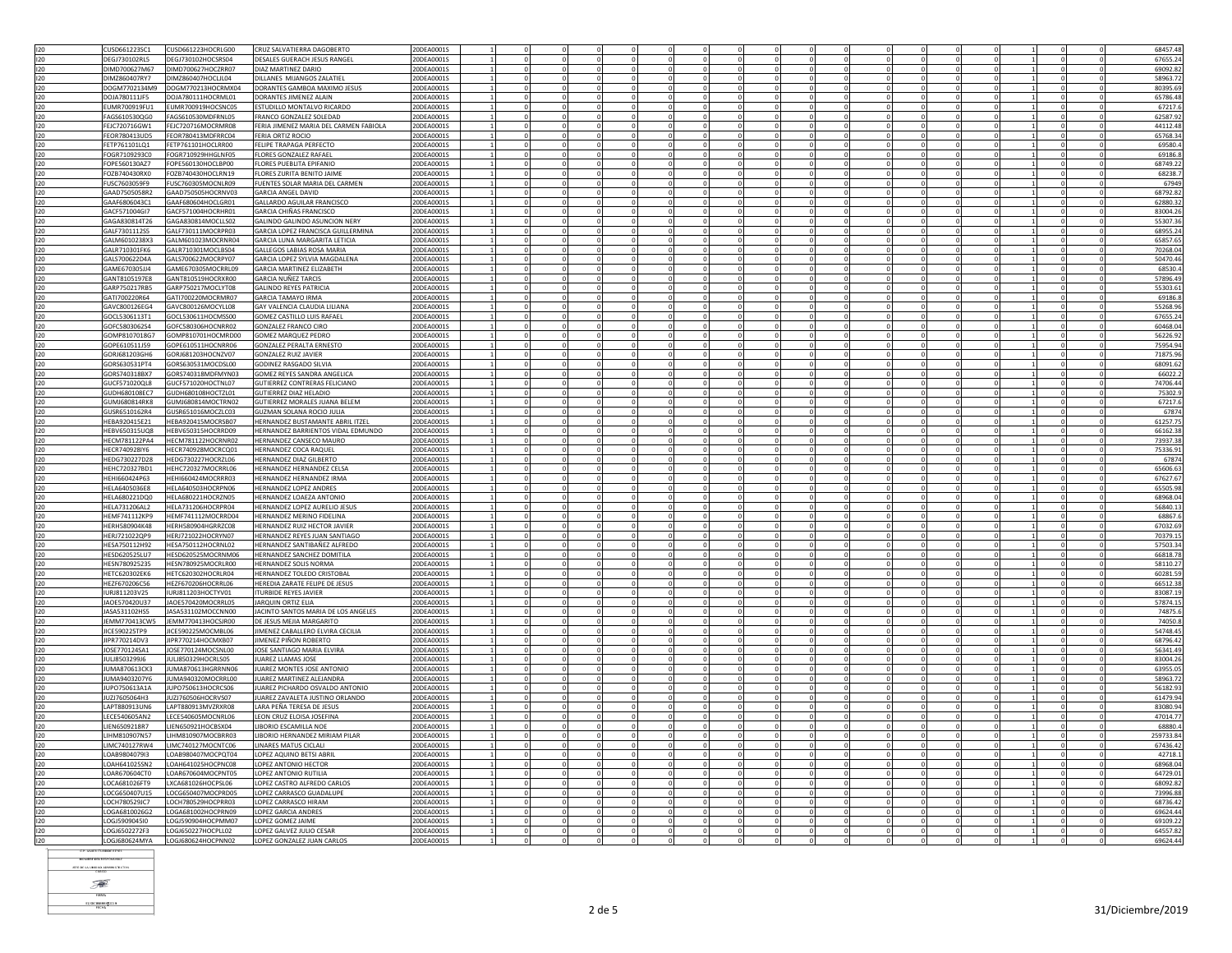|     | CUSD661223SC1        | CUSD661223HOCRLG00 | CRUZ SALVATIERRA DAGOBERTO             | 20DEA00019 |  |                      |             |          |          |                      |              |          |                              |                | 68457.48             |
|-----|----------------------|--------------------|----------------------------------------|------------|--|----------------------|-------------|----------|----------|----------------------|--------------|----------|------------------------------|----------------|----------------------|
| 120 | DEGJ730102RL5        | DEGJ730102HOCSRS04 | DESALES GUERACH JESUS RANGEL           | 20DEA0001S |  |                      |             |          |          |                      | $^{\circ}$   |          |                              |                | 67655.24             |
|     |                      |                    |                                        |            |  |                      |             |          |          |                      |              |          |                              |                |                      |
| 120 | DIMD700627M67        | DIMD700627HOC7RR07 | DIAZ MARTINEZ DARIO                    | 20DEA00019 |  |                      |             |          |          |                      |              |          |                              |                | 69092.82             |
| 120 | DIMZ860407RY7        | DIMZ860407HOCLJL04 | DILLANES MIJANGOS ZALATIE              | 20DEA00019 |  |                      |             |          |          | $\Omega$             | $\Omega$     |          |                              | $\Omega$       | 58963.72             |
| 120 | DOGM7702134M9        | DOGM770213HOCRMX04 | DORANTES GAMBOA MAXIMO JESUS           | 20DEA00019 |  |                      |             |          |          |                      | $\Omega$     |          | $\Omega$<br>$\Omega$         | $\Omega$       | 80395.69             |
| 120 | DOJA780111JF5        | DOJA780111HOCRML01 | DORANTES JIMENEZ ALAIN                 | 20DEA0001S |  |                      |             |          |          |                      |              |          |                              |                | 65786.48             |
| 120 | FUMR700919FU1        | FUMR700919HOCSNC05 | ESTUDILLO MONTALVO RICARDO             | 20DEA0001S |  |                      |             |          |          | $\Omega$             | $\Omega$     |          |                              | $\Omega$       | 67217.6              |
| 120 | FAGS610530QG0        | FAGS610530MDFRNL05 | FRANCO GONZALEZ SOLEDAD                | 20DEA0001S |  |                      |             |          |          | $\mathbf{0}$         |              |          |                              | $\mathbf 0$    | 62587.92             |
| 120 | FFIC720716GW1        | FFIC720716MOCRMR08 | FERIA IIMENEZ MARIA DEL CARMEN FABIOLA | 20DEA0001S |  | $\Omega$             | $\Omega$    |          |          | $\Omega$             | $\Omega$     |          | $\Omega$<br>$\Omega$         | $\Omega$       | 44112.48             |
|     |                      | FEOR780413MDERRC04 | FERIA ORTIZ ROCIO                      |            |  |                      |             |          |          |                      | $\Omega$     |          | $\Omega$                     |                |                      |
| 120 | FEOR780413UD5        |                    |                                        | 20DEA0001S |  |                      |             |          |          |                      |              |          |                              |                | 65768.34             |
| 120 | FETP761101LQ1        | FETP761101HOCLRR00 | FELIPE TRAPAGA PERFECTO                | 20DEA0001S |  |                      |             |          |          | $^{\circ}$           | $^{\circ}$   |          | $^{\circ}$<br>$^{\circ}$     | $\Omega$       | 69580.4              |
| 120 | FOGR7109293C0        | FOGR710929HHGLNF05 | <b>FLORES GONZALEZ RAFAEL</b>          | 20DEA0001S |  |                      |             |          |          | $^{\circ}$           | $^{\circ}$   |          |                              |                | 69186.8              |
| 120 | FOPE560130AZ7        | FOPE560130HOCLBP00 | FLORES PUEBLITA EPIFANIO               | 20DEA0001S |  |                      |             |          |          | $\Omega$             | $\Omega$     |          | $\Omega$<br>$\Omega$         | $\Omega$       | 68749.22             |
| 120 | FOZB740430RX0        | FOZB740430HOCLRN19 | <b>FLORES ZURITA BENITO JAIME</b>      | 20DEA00019 |  |                      |             |          |          |                      |              |          |                              |                | 68238.7              |
| 120 | FUSC7603059F9        | FUSC760305MOCNLR09 | FUENTES SOLAR MARIA DEL CARMEN         | 20DEA0001S |  |                      |             |          |          |                      | $^{\circ}$   |          | $\Omega$<br>$^{\circ}$       |                | 67949                |
| 120 | GAAD7505058R2        | GAAD750505HOCRNV03 | GARCIA ANGEL DAVID                     | 20DEA0001S |  |                      |             |          |          | $\Omega$             | $\Omega$     |          |                              | $\Omega$       | 68792.82             |
| 120 | GAAF6806043C1        | GAAF680604HOCLGR01 | GALLARDO AGUILAR FRANCISCO             | 20DEA00019 |  |                      |             |          |          |                      |              |          |                              | $\mathbf 0$    | 62880.32             |
|     | GACF571004GI7        | GACF571004HOCRHR01 | <b>GARCIA CHIÑAS FRANCISCO</b>         | 20DEA0001S |  |                      |             |          |          |                      | $\Omega$     |          | $\Omega$<br>$\Omega$         | $\Omega$       | 83004.26             |
| 120 |                      |                    |                                        |            |  |                      |             |          |          |                      |              |          |                              |                |                      |
| 120 | GAGA830814T26        | GAGA830814MOCLLS02 | <b>GALINDO GALINDO ASUNCION NERY</b>   | 20DEA0001S |  |                      |             |          |          |                      | $^{\circ}$   |          | 0<br>$^{\circ}$              |                | 55307.36             |
| 120 | GALE7301112S5        | GALE730111MOCRPR03 | GARCIA LOPEZ FRANCISCA GUILLERMINA     | 20DEA0001S |  | $\Omega$             |             |          |          | $\Omega$             | $\Omega$     | $\Omega$ | $\Omega$<br>$\Omega$         | $\Omega$       | 68955.24             |
| 120 | GALM6010238X3        | GALM601023MOCRNR04 | <b>GARCIA LUNA MARGARITA LETICIA</b>   | 20DEA0001S |  |                      |             |          |          | $\mathbf{0}$         |              |          |                              |                | 65857.65             |
| 120 | GALR710301FK6        | GALR710301MOCLBS04 | GALLEGOS LABIAS ROSA MARIA             | 20DEA0001S |  |                      |             |          |          | $\Omega$             | $\Omega$     |          | $\Omega$<br>$\Omega$         | $\Omega$       | 70268.04             |
| 120 | GALS700622D4A        | GALS700622MOCRPY07 | GARCIA LOPEZ SYLVIA MAGDALENA          | 20DEA0001S |  |                      |             |          |          |                      | $\mathbf 0$  |          |                              |                | 50470.46             |
| 120 | GAME670305JJ4        | GAME670305MOCRRL09 | <b>GARCIA MARTINEZ ELIZABETH</b>       | 20DEA0001S |  |                      |             |          |          |                      | $^{\circ}$   |          | $\Omega$<br>$^{\circ}$       | $\Omega$       | 68530.4              |
| 120 | GANT8105197E8        | GANT810519HOCRXR00 | GARCIA NUÑEZ TARCIS                    | 20DEA0001S |  |                      |             |          |          |                      |              |          |                              |                | 57896.49             |
| 120 | GARP750217RB5        | GARP750217MOCLYT08 | <b>GALINDO REYES PATRICIA</b>          | 20DEA0001S |  |                      |             |          |          |                      | $\Omega$     |          |                              | $\Omega$       | 55303.61             |
| 120 | GAT1700220R64        | GATI700220MOCRMR07 | <b>GARCIA TAMAYO IRMA</b>              | 20DEA0001S |  |                      |             |          |          |                      |              |          |                              |                | 69186.8              |
|     |                      |                    |                                        |            |  |                      |             |          |          |                      |              |          |                              |                |                      |
| 120 | GAVC800126EG4        | GAVC800126MOCYLL08 | GAY VALENCIA CLAUDIA LILIANA           | 20DEA0001S |  |                      |             |          |          |                      |              |          |                              |                | 55268.96             |
| 120 | GOCL5306113T1        | GOCL530611HOCMSS00 | GOMEZ CASTILLO LUIS RAFAEL             | 20DEA0001S |  |                      |             |          |          | $\Omega$             | $\Omega$     |          |                              |                | 67655.24             |
| 120 | GOFC5803062S4        | GOFC580306HOCNRR02 | <b>GONZALEZ FRANCO CIRO</b>            | 20DEA00019 |  |                      |             |          |          | $\mathbf{0}$         | $\Omega$     |          |                              | $\mathbf 0$    | 60468.04             |
| 120 | GOMP8107018G7        | GOMP810701HOCMRD00 | <b>GOMEZ MARQUEZ PEDRO</b>             | 20DEA00019 |  | $\Omega$             | $\Omega$    |          |          | $\Omega$<br>$\Omega$ | $\Omega$     |          | $\Omega$<br>$\Omega$         | $\Omega$       | 56226.92             |
| 120 | GOPE610511J59        | GOPE610511HOCNRR06 | <b>GONZALEZ PERALTA ERNESTO</b>        | 20DEA0001S |  | 0                    |             |          |          | $\mathbf{0}$         | $\mathbf 0$  |          | $\mathbf{0}$<br>$\mathbf{0}$ |                | 75954.94             |
| 120 | GOR1681203GH6        | GORJ681203HOCNZV07 | GONZALEZ RUIZ JAVIER                   | 20DEA0001S |  | $\Omega$<br>$\Omega$ |             |          | $\Omega$ | $\Omega$             | $\Omega$     |          | $\Omega$<br>$^{\circ}$       | $\Omega$       | 71875.96             |
| 120 | GORS630531PT4        | GORS630531MOCDSL00 | <b>GODINEZ RASGADO SILVIA</b>          | 20DEA00019 |  |                      |             |          |          |                      |              |          |                              |                | 68091.62             |
| 120 | GORS740318BX7        |                    |                                        |            |  |                      |             |          |          | $\Omega$             | $\Omega$     |          | $\Omega$<br>$\Omega$         | $\Omega$       |                      |
|     |                      | GORS740318MDFMYN03 | GOMEZ REYES SANDRA ANGELICA            | 20DEA0001S |  |                      |             |          |          |                      |              |          |                              |                | 66022.2              |
| 120 | GUCF571020QL8        | GUCF571020HOCTNL07 | GUTIERREZ CONTRERAS FELICIANO          | 20DEA0001S |  |                      |             |          |          |                      | $\mathbf 0$  |          | $\mathbf 0$                  |                | 74706.44             |
| 120 | GUDH680108EC7        | GUDH680108HOCTZL01 | <b>GUTIERREZ DIAZ HELADIO</b>          | 20DEA00019 |  |                      |             |          |          |                      | $\mathbf 0$  |          |                              |                | 75302.9              |
| 120 | GUMJ680814RK8        | GUMJ680814MOCTRN02 | GUTIERREZ MORALES JUANA BELEM          | 20DEA0001S |  |                      |             |          |          |                      |              |          |                              |                | 67217.6              |
| 120 | GUSR6510162R4        | GUSR651016MOCZLC03 | GUZMAN SOLANA ROCIO JULIA              | 20DEA0001S |  |                      |             |          |          | $\mathbf{0}$         | $\Omega$     |          | $\Omega$                     | $\Omega$       | 67874                |
| 120 | HEBA920415E21        | HEBA920415MOCRSB07 | HERNANDEZ BUSTAMANTE ABRIL ITZEL       | 20DEA00019 |  |                      |             |          |          |                      |              |          |                              |                | 61257.75             |
| 120 | HEBV650315UQ8        | HEBV650315HOCRRD09 | HERNANDEZ BARRIENTOS VIDAL EDMUNDO     | 20DEA00019 |  |                      |             |          |          |                      | $\mathbf 0$  |          |                              |                | 66162.38             |
| 120 | HECM781122PA4        | HECM781122HOCRNR02 | HERNANDEZ CANSECO MAURO                | 20DEA0001S |  |                      |             |          |          | $\mathbf{0}$         | $^{\circ}$   |          |                              | $\overline{0}$ | 73937.38             |
| 120 | HECR740928IY6        | HECR740928MOCRCQ01 | HERNANDEZ COCA RAQUEL                  | 20DEA00019 |  |                      |             |          |          |                      | $\Omega$     |          |                              | $\mathbf 0$    | 75336.91             |
|     |                      |                    |                                        |            |  |                      |             |          |          |                      |              |          |                              |                |                      |
| 120 | HEDG730227D28        | HEDG730227HOCRZL06 | HERNANDEZ DIAZ GILBERTO                | 20DEA0001S |  | $\Omega$             | $\Omega$    |          | $\Omega$ | $\Omega$<br>$\Omega$ | $\Omega$     |          | $\Omega$<br>$\Omega$         | $\Omega$       | 67874                |
| 120 | HEHC720327BD1        | HEHC720327MOCRRL06 | HERNANDEZ HERNANDEZ CELSA              | 20DEA0001S |  | $\mathbf 0$          | $\mathbf 0$ |          |          | $\mathbf{0}$         | $\mathbf 0$  |          | $\mathbf{0}$<br>$\mathbf{0}$ |                | 65606.63             |
| 120 | HFHI660424P63        | HEHI660424MOCRRR03 | <b>HERNANDEZ HERNANDEZ IRMA</b>        | 20DEA0001S |  | $\Omega$<br>$\Omega$ | $\Omega$    | $\Omega$ | $\Omega$ | $\Omega$             | $\Omega$     | $\Omega$ | $\circ$<br>$\Omega$          | $\Omega$       | 67627.67<br>$\Omega$ |
| 120 | HELA6405036E8        | HELA640503HOCRPN06 | HERNANDEZ LOPEZ ANDRES                 | 20DEA0001S |  |                      |             |          |          |                      |              |          |                              |                | 65505.98             |
| 120 | HELA680221DQ0        | HELA680221HOCRZN05 | HERNANDEZ LOAEZA ANTONIO               | 20DEA0001S |  |                      |             |          |          | $\overline{0}$       | $\Omega$     |          | $\Omega$<br>$\Omega$         | $\Omega$       | 68968.04             |
| 120 | HELA731206AL2        | HELA731206HOCRPR04 | HERNANDEZ LOPEZ AURELIO JESUS          | 20DEA00019 |  |                      |             |          |          |                      | $\mathbf 0$  |          | $\mathbf 0$                  |                | 56840.13             |
| 120 | HEMF741112KP9        | HEMF741112MOCRRD04 | HERNANDEZ MERINO FIDELINA              | 20DEA0001S |  |                      |             |          |          |                      | $\mathbf{0}$ |          | 0<br>$^{\circ}$              |                | 68867.6              |
| 120 | <b>HERH580904K48</b> | HERH580904HGRRZC08 | HERNANDEZ RUIZ HECTOR JAVIER           | 20DEA00019 |  |                      |             |          |          |                      |              |          |                              |                | 67032.69             |
|     |                      |                    |                                        |            |  |                      |             |          |          |                      | $\Omega$     |          |                              |                |                      |
| 120 | HERJ721022QP9        | HERJ721022HOCRYN07 | HERNANDEZ REYES JUAN SANTIAGO          | 20DEA0001S |  |                      |             |          |          |                      |              |          |                              | $\Omega$       | 70379.15             |
| 120 | HFSA750112H92        | HFSA750112HOCRNL02 | HERNANDEZ SANTIBAÑEZ ALEREDO           | 20DEA00019 |  |                      |             |          |          |                      | $\Omega$     |          |                              |                | 57503.34             |
| 120 | HESD620525LU7        | HESD620525MOCRNM06 | HERNANDEZ SANCHEZ DOMITILA             | 20DEA00019 |  |                      |             |          |          |                      | $\mathbf 0$  |          | $\Omega$<br>$\mathbf 0$      |                | 66818.78             |
| 120 | HESN780925235        | HESN780925MOCRLR00 | <b>HERNANDEZ SOLIS NORMA</b>           | 20DEA0001S |  |                      |             |          |          | $\mathbf{0}$         | $^{\circ}$   |          | $^{\circ}$                   | $\Omega$       | 58110.27             |
| 120 | HETC620302EK6        | HETC620302HOCRLR04 | HERNANDEZ TOLEDO CRISTOBAL             | 20DEA0001S |  |                      |             |          |          | $\mathbf{0}$         |              |          |                              |                | 60281.59             |
| 120 | HEZF670206C56        | HEZF670206HOCRRL06 | HEREDIA ZARATE FELIPE DE JESUS         | 20DEA0001S |  | $\Omega$<br>$\Omega$ | $\Omega$    |          |          | $\Omega$<br>$\Omega$ | $\Omega$     |          | $\Omega$<br>$\Omega$         | $\Omega$       | 66512.38             |
| 120 | IURJ811203V25        | IURJ811203HOCTYV01 | <b>ITURBIDE REYES JAVIER</b>           | 20DEA0001S |  |                      |             |          |          | $\mathbf{0}$         | $\mathbf 0$  |          | $\mathbf{0}$<br>$\mathbf 0$  |                | 83087.19             |
| 120 | JAOE570420U37        | IAOF570420MOCRRL05 | <b>JARQUIN ORTIZ ELIA</b>              | 20DEA0001S |  |                      |             |          |          | $\Omega$             | $\mathbf{0}$ |          | $\Omega$<br>$\Omega$         | $\Omega$       | 57874.15             |
| 120 | JASA531102HS5        | JASA531102MOCCNN00 | JACINTO SANTOS MARIA DE LOS ANGELES    | 20DEA0001S |  |                      |             |          |          |                      |              |          |                              |                | 74875.6              |
| 120 |                      | JEMM770413HOCSJR00 | DE JESUS MEJIA MARGARITO               |            |  |                      |             |          |          | $\Omega$             | $\Omega$     |          | $\Omega$<br>$\Omega$         | $\Omega$       |                      |
|     | JEMM770413CW5        |                    |                                        | 20DEA0001S |  |                      |             |          |          |                      |              |          |                              |                | 74050.8              |
| 120 | JICE590225TP9        | JICE590225MOCMBL06 | JIMENEZ CABALLERO ELVIRA CECILIA       | 20DEA0001S |  |                      |             |          |          |                      | $\Omega$     |          |                              |                | 54748.45             |
| 120 | JIPR770214DV3        | JIPR770214HOCMXB07 | JIMENEZ PIÑON ROBERTO                  | 20DEA0001S |  |                      |             |          |          |                      | $\mathbf 0$  |          | $\mathbf{0}$<br>$\mathbf{0}$ |                | 68796.42             |
| 120 | JOSE770124SA1        | JOSE770124MOCSNL00 | JOSE SANTIAGO MARIA ELVIRA             | 20DEA0001S |  |                      |             |          |          |                      |              |          |                              |                | 56341.49             |
| 120 | JULJ8503299J6        | JULJ850329HOCRLS05 | <b>UAREZ LLAMAS JOSE</b>               | 20DEA00019 |  |                      |             |          |          |                      |              |          |                              |                | 83004.26             |
| 120 | <b>IUMA870613CK3</b> | IUMA870613HGRRNN06 | <b>ILIAREZ MONTES IOSE ANTONIO</b>     | 20DEA00019 |  |                      |             |          |          |                      | $\Omega$     |          |                              |                | 63955.05             |
| 120 | JUMA9403207Y6        | JUMA940320MOCRRL00 | JUAREZ MARTINEZ ALEJANDRA              | 20DEA00019 |  |                      |             |          |          |                      | $\mathbf 0$  |          | $\mathbf 0$                  |                | 58963.72             |
| 120 | JUPO750613A1A        | JUPO750613HOCRCS06 | JUAREZ PICHARDO OSVALDO ANTONIO        | 20DEA00019 |  |                      |             |          |          |                      |              |          |                              |                | 56182.93             |
| 120 | JUZJ7605064H3        | JUZJ760506HOCRVS07 | JUAREZ ZAVALETA JUSTINO ORLANDO        | 20DEA0001S |  |                      |             |          |          | $\mathbf{0}$         |              |          |                              |                | 61479.94             |
|     | LAPT880913UN6        | LAPT880913MV7RXR08 |                                        |            |  | $\Omega$<br>$\Omega$ | $\Omega$    |          | $\Omega$ | $\Omega$<br>$\Omega$ | $\Omega$     | $\Omega$ | $\Omega$<br>$\Omega$         | $\Omega$       |                      |
| 120 |                      |                    | LARA PEÑA TERESA DE JESUS              | 20DEA0001S |  |                      |             |          |          |                      |              |          |                              |                | 83080.94             |
| 120 | LECE540605AN2        | LECE540605MOCNRL06 | LEON CRUZ ELOISA JOSEFINA              | 20DEA0001S |  |                      |             |          |          |                      | $\Omega$     |          |                              |                | 47014.77             |
| 120 | LIEN6509218R7        | LIEN650921HOCBSX04 | LIBORIO ESCAMILLA NOE                  | 20DEA0001S |  |                      |             |          |          | $\Omega$             | $\mathbf 0$  |          | $\Omega$<br>$\mathbf 0$      | $\Omega$       | 68880.4              |
| 120 | IHM810907N57         | LIHM810907MOCBRR03 | LIBORIO HERNANDEZ MIRIAM PILAR         | 20DEA0001S |  |                      |             |          |          |                      |              |          |                              |                | 259733.84            |
| 120 | LIMC740127RW4        | LIMC740127MOCNTC06 | LINARES MATUS CICLALI                  | 20DEA00019 |  |                      |             |          |          |                      | $\Omega$     |          |                              |                | 67436.42             |
| 120 | LOAB980407913        | LOAB980407MOCPQT04 | LOPEZ AQUINO BETSI ABRI                | 20DEA00019 |  |                      |             |          |          |                      | $\Omega$     |          |                              |                | 42718.3              |
| 120 | LOAH641025SN2        | LOAH641025HOCPNC08 | LOPEZ ANTONIO HECTOR                   | 20DEA00019 |  |                      |             |          |          |                      | $^{\circ}$   |          |                              |                | 68968.04             |
| 120 | OAR670604CT0         | LOAR670604MOCPNT05 | OPEZ ANTONIO RUTILIA                   | 20DEA00019 |  |                      |             |          |          |                      |              |          |                              |                | 64729.01             |
| 120 | LOCA681026FT9        | LXCA681026HOCPSL06 | LOPEZ CASTRO ALFREDO CARLOS            | 20DEA0001S |  |                      |             |          |          |                      |              |          |                              | $\mathbf 0$    | 68092.82             |
|     |                      |                    | LOPEZ CARRASCO GUADALUPE               |            |  |                      |             |          |          | $\Omega$             | $\Omega$     |          | $\Omega$<br>$\Omega$         |                | 73996.88             |
| 120 | LOCG650407U15        | LOCG650407MOCPRD05 |                                        | 20DEA0001S |  |                      |             |          |          |                      |              |          |                              | $\Omega$       |                      |
| 120 | LOCH780529JC7        | LOCH780529HOCPRR03 | LOPEZ CARRASCO HIRAM                   | 20DEA00019 |  |                      |             |          |          |                      | $\mathbf 0$  |          | $\mathbf 0$                  |                | 68736.42             |
| 120 | 10646810026G2        | LOGA681002HOCPRN09 | <b>LOPEZ GARCIA ANDRES</b>             | 20DEA0001S |  |                      |             |          |          | $\mathbf{0}$         | $^{\circ}$   |          | $\Omega$<br>$^{\circ}$       | $\Omega$       | 69624.44             |
| 120 | LOGJ5909045I0        | LOGJ590904HOCPMM07 | LOPEZ GOMEZ JAIME                      | 20DEA0001S |  |                      |             |          |          | $\mathbf{0}$         |              |          |                              | $\mathbf{0}$   | 69109.22             |
| 120 | LOGI6502272E3        | LOGJ650227HOCPLL02 | LOPEZ GALVEZ JULIO CESAR               | 20DEA00019 |  | $\Omega$             |             |          |          | $\Omega$             | $\Omega$     | $\Omega$ | $\Omega$<br>$\Omega$         | $\Omega$       | 64557.82             |
| 120 | LOGJ680624MYA        | LOGJ680624HOCPNN02 | LOPEZ GONZALEZ JUAN CARLOS             | 20DEA0001S |  |                      |             |          |          |                      | $\Omega$     |          |                              |                | 69624.44             |
|     |                      |                    |                                        |            |  |                      |             |          |          |                      |              |          |                              |                |                      |

**NOMIRE DEL RESPONSABL** 

**ISTE DE LA UNIDAD ADMINISTRATIVA**  $\begin{picture}(20,20) \put(0,0){\vector(0,1){30}} \put(15,0){\vector(0,1){30}} \put(15,0){\vector(0,1){30}} \put(15,0){\vector(0,1){30}} \put(15,0){\vector(0,1){30}} \put(15,0){\vector(0,1){30}} \put(15,0){\vector(0,1){30}} \put(15,0){\vector(0,1){30}} \put(15,0){\vector(0,1){30}} \put(15,0){\vector(0,1){30}} \put(15,0){\vector(0,1){30}} \put(15,0){\vector(0$  $T_{\text{HMA}}$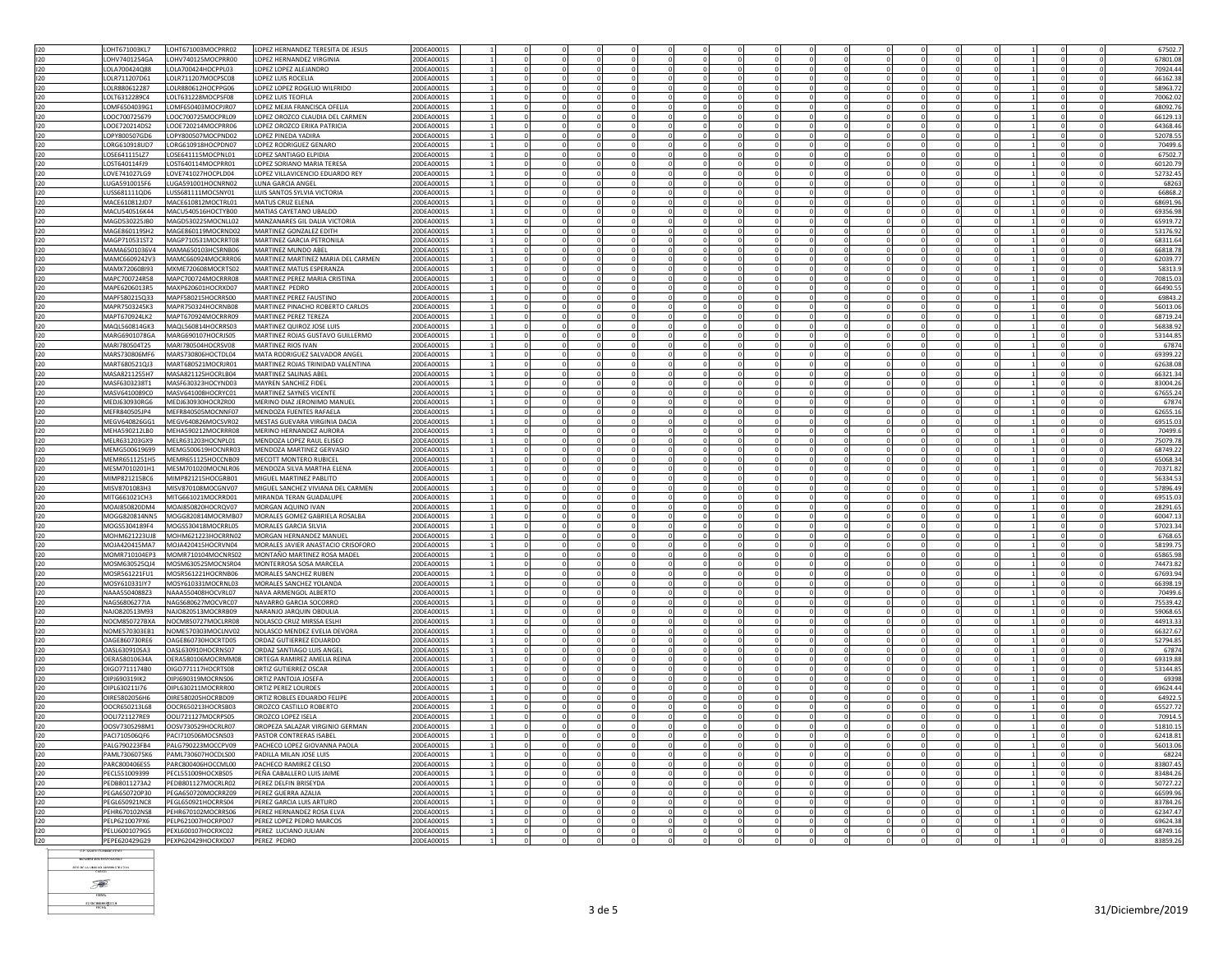| 120        | LOHT671003KL7                  | LOHT671003MOCPRR02                       | LOPEZ HERNANDEZ TERESITA DE JESUS   | 20DEA0001S               |             |          |          |          |          |          |                        |              |          |                |  | 67502.              |
|------------|--------------------------------|------------------------------------------|-------------------------------------|--------------------------|-------------|----------|----------|----------|----------|----------|------------------------|--------------|----------|----------------|--|---------------------|
| 120        | OHV7401254GA                   | LOHV740125MOCPRR00                       | LOPEZ HERNANDEZ VIRGINIA            | 20DEA0001S               |             |          |          |          |          |          |                        |              |          |                |  | 67801.08            |
| 120        | LOLA700424Q88                  | LOLA700424HOCPPL03                       | LOPEZ LOPEZ ALEJANDRO               | 20DEA0001S               |             |          |          |          |          |          |                        |              |          |                |  | 70924.44            |
| 120        |                                |                                          |                                     | 20DEA0001S               |             |          |          |          |          |          |                        |              |          |                |  | 66162.3             |
|            | OLR711207D61                   | LOLR711207MOCPSC08                       | LOPEZ LUIS ROCELIA                  |                          |             |          |          |          |          |          |                        |              |          |                |  |                     |
| 120        | OLR880612287                   | LOLR880612HOCPPG06                       | LOPEZ LOPEZ ROGELIO WILFRIDO        | 20DEA0001S               |             |          |          |          |          |          |                        |              |          | $\Omega$       |  | 58963.7             |
| 120        | LOLT6312289C4                  | LOLT631228MOCPSF08                       | LOPEZ LUIS TEOFILA                  | 20DEA0001S               |             |          |          |          |          |          |                        |              |          |                |  | 70062.0             |
| 120        | LOMF6504039G1                  | LOMF650403MOCPJR07                       | LOPEZ MEJIA FRANCISCA OFELIA        | 20DEA0001S               |             |          |          |          |          |          |                        |              |          |                |  | 68092.7             |
| 120        | LOOC700725679                  | LOOC700725MOCPRL09                       | LOPEZ OROZCO CLAUDIA DEL CARMEN     | 20DEA0001S               |             |          |          |          |          |          |                        |              |          |                |  | 66129.1             |
|            |                                |                                          |                                     |                          |             |          |          |          |          |          |                        |              |          |                |  |                     |
| 120        | OOE720214DS2                   | LOOE720214MOCPRR06                       | LOPEZ OROZCO ERIKA PATRICIA         | 20DEA0001S               |             |          |          |          |          |          |                        |              |          |                |  | 64368.4             |
| 120        | OPY800507GD6                   | LOPY800507MOCPND02                       | <b>LOPEZ PINEDA YADIRA</b>          | 20DEA0001S               | $\Omega$    |          | $\Omega$ |          |          | $\Omega$ | $\Omega$               | $\Omega$     |          | $\Omega$       |  | 52078.5             |
| 120        | LORG610918UD7                  | LORG610918HOCPDN07                       | LOPEZ RODRIGUEZ GENARO              | 20DEA0001S               | $\mathbf 0$ |          |          |          |          |          | $\mathbf 0$            |              |          | $\mathbf 0$    |  | 70499.              |
| 120        | OSE641115177                   | LOSE641115MOCPNL01                       | LOPEZ SANTIAGO ELPIDIA              | 20DEA0001S               | $\Omega$    |          |          | $\Omega$ |          |          | $\Omega$               | $\Omega$     |          |                |  | 67502.              |
|            |                                |                                          |                                     |                          |             |          |          |          |          |          |                        |              |          | $\Omega$       |  |                     |
| 120        | OST640114FJ9                   | LOST640114MOCPRR01                       | LOPEZ SORIANO MARIA TERESA          | 20DEA0001S               |             |          |          |          |          |          |                        |              |          |                |  | 60120.79            |
| 120        | LOVE741027LG9                  | LOVE741027HOCPLD04                       | LOPEZ VILLAVICENCIO EDUARDO REY     | 20DEA0001S               |             |          |          |          |          |          | $\Omega$               |              |          | $\Omega$       |  | 52732.4             |
| 120        | LUGA5910015F6                  | LUGA591001HOCNRN02                       | LUNA GARCIA ANGEL                   | 20DEA0001S               | 0           |          |          |          |          |          | $^{\circ}$             |              |          | $^{\circ}$     |  | 68263               |
|            |                                |                                          |                                     |                          |             |          |          |          |          |          |                        |              |          |                |  |                     |
| 120        | USS681111QD6                   | LUSS681111MOCSNY01                       | LUIS SANTOS SYLVIA VICTORIA         | 20DEA0001S               |             |          |          |          |          |          | $^{\circ}$             |              |          | $\overline{0}$ |  | 66868.              |
| 120        | MACE610812JD7                  | MACE610812MOCTRL01                       | <b>MATUS CRUZ ELENA</b>             | 20DEA0001S               |             |          |          |          |          |          |                        |              |          |                |  | 68691.9             |
| 120        | MACU540516K44                  | MACU540516HOCTYB00                       | MATIAS CAYETANO UBALDO              | 20DEA0001S               |             |          |          |          |          |          |                        |              |          |                |  | 69356.9             |
| 120        | MAGD530225JB0                  | MAGD530225MOCNLL02                       | MANZANARES GIL DALIA VICTORIA       | 20DEA0001S               |             |          |          |          |          |          | $\Omega$               |              |          | $\Omega$       |  | 65919.7             |
|            |                                |                                          |                                     |                          |             |          |          |          |          |          |                        |              |          |                |  |                     |
| 120        | MAGE860119SH2                  | MAGE860119MOCRND02                       | MARTINEZ GONZALEZ EDITH             | 20DEA0001S               |             |          |          |          |          |          |                        |              |          | $\mathbf{0}$   |  | 53176.9             |
| 120        | MAGP710531ST2                  | MAGP710531MOCRRT08                       | MARTINEZ GARCIA PETRONILA           | 20DEA0001S               |             |          |          |          |          |          |                        |              |          | - 0            |  | 68311.64            |
| 120        | MAMA6501036V4                  | MAMA650103HCSRNB06                       | MARTINEZ MUNDO ABEL                 | 20DEA0001S               |             |          |          |          |          |          |                        |              |          |                |  | 66818.7             |
| 120        | MAMC6609242V3                  | MAMC660924MOCRRR06                       | MARTINEZ MARTINEZ MARIA DEL CARMEN  | 20DEA0001S               | $\Omega$    | $\Omega$ | $\Omega$ | $\Omega$ |          | $\Omega$ | $\cap$                 | $\Omega$     |          | $\Omega$       |  | 62039.7             |
|            |                                |                                          |                                     |                          |             |          |          |          |          |          |                        |              |          |                |  |                     |
| 120        | MAMX720608I93                  | MXME720608MOCRTS02                       | MARTINEZ MATUS ESPERANZA            | 20DEA0001S               |             |          |          |          |          |          | $\mathbf 0$            |              |          | $\mathbf 0$    |  | 58313.              |
| 120        | MAPC700724R58                  | MAPC700724MOCRRR08                       | MARTINEZ PEREZ MARIA CRISTINA       | 20DEA0001S               | $^{\circ}$  |          | 0        |          |          | $\Omega$ | $\Omega$<br>$^{\circ}$ | $\mathbf{0}$ |          | $\mathbf{0}$   |  | 70815.0             |
| 120        | MAPE6206013R5                  | MAXP620601HOCRXD07                       | MARTINEZ PEDRO                      | 20DEA0001S               |             |          |          |          |          |          |                        |              |          |                |  | 66490.5             |
| 120        | MAPF580215Q33                  | MAPF580215HOCRRS00                       | MARTINEZ PEREZ FAUSTINO             | 20DEA0001S               | $\Omega$    | $\Omega$ | $\Omega$ |          |          | $\Omega$ | $\Omega$<br>$\Omega$   | $\Omega$     | $\Omega$ | $\Omega$       |  | 69843.              |
| 120        | MAPR7503245K3                  | MAPR750324HOCRNB08                       | MARTINEZ PINACHO ROBERTO CARLOS     | 20DEA0001S               | $\Omega$    |          |          |          |          |          | $\Omega$               |              |          | $\Omega$       |  | 56013.0             |
|            |                                |                                          |                                     |                          |             |          |          |          |          |          |                        |              |          |                |  |                     |
| 120        | MAPT670924LK2                  | MAPT670924MOCRRR09                       | MARTINEZ PEREZ TEREZA               | 20DEA0001S               |             |          |          |          |          |          | $^{\circ}$             |              |          | $\overline{0}$ |  | 68719.24            |
| 120        | MAQL560814GK3                  | MAQL560814HOCRRS03                       | MARTINEZ QUIROZ JOSE LUIS           | 20DEA0001S               |             |          |          |          |          |          |                        |              |          |                |  | 56838.9             |
| 120        | MARG6901078GA                  | MARG690107HOCRJS05                       | MARTINEZ ROJAS GUSTAVO GUILLERMO    | 20DEA0001S               |             |          |          |          |          |          |                        |              |          | $\sqrt{2}$     |  | 53144.8             |
|            | MARI780504T25                  | MARI780504HOCRSV08                       | <b>MARTINEZ RIOS IVAN</b>           | 20DEA0001S               |             |          |          |          |          |          |                        |              |          |                |  | 6787                |
| 120        |                                |                                          |                                     |                          |             |          |          |          |          |          |                        |              |          |                |  |                     |
| 120        | MARS730806MF6                  | MARS730806HOCTDL04                       | MATA RODRIGUEZ SALVADOR ANGEL       | 20DEA0001S               |             |          |          |          |          |          |                        |              |          |                |  | 69399.2             |
| 120        | MART680521QJ3                  | MART680521MOCRJR01                       | MARTINEZ ROJAS TRINIDAD VALENTINA   | 20DEA0001S               |             |          |          |          |          |          |                        |              |          |                |  | 62638.0             |
| 120        | MASA8211255H7                  | MASA821125HOCRLB04                       | MARTINEZ SALINAS ABEL               | 20DEA0001S               |             |          |          |          |          |          |                        |              |          |                |  | 66321.3             |
| 120        | MASF6303238T1                  | MASF630323HOCYND03                       | MAYREN SANCHEZ FIDEL                | 20DEA0001S               |             |          |          |          |          |          |                        |              |          | $\Omega$       |  | 83004.2             |
|            |                                |                                          |                                     |                          |             |          |          |          |          |          |                        |              |          |                |  |                     |
| 120        | MASV6410089C0                  | MASV641008HOCRYC01                       | MARTINEZ SAYNES VICENTE             | 20DEA0001S               |             |          |          |          |          |          |                        |              |          |                |  | 67655.24            |
| 120        | MED1630930RG6                  | MEDI630930HOCRZR00                       | MERINO DIAZ JERONIMO MANUEL         | 20DEA0001S               |             |          |          |          |          |          |                        |              |          | $\Omega$       |  | 67874               |
| 120        | MEFR840505JP4                  | MEFR840505MOCNNF07                       | MENDOZA FUENTES RAFAELA             | 20DEA0001S               |             |          |          |          |          |          |                        |              |          |                |  | 62655.16            |
|            |                                |                                          |                                     |                          |             |          |          |          |          |          |                        |              |          | $\Omega$       |  |                     |
| 120        | MEGV640826GG1                  | MEGV640826MOCSVR02                       | MESTAS GUEVARA VIRGINIA DACIA       | 20DEA0001S               |             |          |          |          |          |          |                        |              |          |                |  | 69515.0             |
| 120        | MEHA590212LB0                  | MEHA590212MOCRRR08                       | MERINO HERNANDEZ AURORA             | 20DEA0001S               |             |          |          |          |          |          |                        |              |          |                |  | 70499.              |
| 120        | MELR631203GX9                  | MELR631203HOCNPL01                       | MENDOZA LOPEZ RAUL ELISEO           | 20DEA0001S               |             |          |          |          |          |          | $^{\circ}$             |              |          | $^{\circ}$     |  | 75079.7             |
| 120        | MEMG500619699                  | MEMG500619HOCNRR03                       | MENDOZA MARTINEZ GERVASIO           | 20DEA0001S               |             |          |          |          |          |          |                        |              |          |                |  | 68749.22            |
| 120        | MEMR6511251H5                  | MEMR651125HOCCNB09                       | MECOTT MONTERO RUBICEL              | 20DEA0001S               |             |          |          |          |          |          |                        |              |          | $\Omega$       |  | 65068.3             |
|            |                                |                                          |                                     |                          |             |          |          |          |          |          |                        |              |          |                |  |                     |
| 120        | MESM7010201H1                  | MESM701020MOCNLR06                       | MENDOZA SILVA MARTHA ELENA          | 20DEA0001S               |             |          |          |          |          |          |                        |              |          | $\Omega$       |  | 70371.82            |
| 120        | MIMP821215BC6                  | MIMP821215HOCGRB01                       | MIGUEL MARTINEZ PABLITO             | 20DEA0001S               |             |          |          |          |          |          |                        |              |          | $\overline{0}$ |  | 56334.5             |
| 120        | MISV8701083H3                  | MISV870108MOCGNV07                       | MIGUEL SANCHEZ VIVIANA DEL CARMEN   | 20DEA0001S               |             |          |          |          |          |          |                        |              |          |                |  | 57896.4             |
| 120        | MITG661021CH3                  | MITG661021MOCRRD01                       | MIRANDA TERAN GUADALUPE             | 20DEA0001S               |             |          |          |          |          |          |                        |              |          |                |  | 69515.0             |
|            |                                |                                          |                                     |                          |             |          |          |          |          |          |                        |              |          |                |  |                     |
| 120        | MOAI850820DM4                  | MOAI850820HOCROV07                       | MORGAN AQUINO IVAN                  | 20DEA0001S               |             |          |          |          |          |          | $\Omega$               |              |          | $\Omega$       |  | 28291.6             |
| 120        | MOGG820814NN5                  | MOGG820814MOCRMB07                       | MORALES GOMEZ GABRIELA ROSALBA      | 20DEA0001S               |             |          |          |          |          |          |                        |              |          | $\mathbf 0$    |  | 60047.1             |
| 120        | MOGS5304189F4                  | MOGS530418MOCRRL05                       | MORALES GARCIA SILVIA               | 20DEA0001S               |             |          |          |          |          |          | $\Omega$               |              |          | $\Omega$       |  | 57023.34            |
| 120        | <b>MOHM621223UJ8</b>           | MOHM621223HOCRRN02                       | MORGAN HERNANDEZ MANUEL             | 20DEA0001S               |             |          |          |          |          |          |                        |              |          |                |  | 6768.6              |
|            |                                |                                          |                                     |                          |             |          |          |          |          |          |                        |              |          |                |  |                     |
| 120        | MOIA420415MA7                  | MOJA420415HOCRVN04                       | MORALES JAVIER ANASTACIO CRISOFORO  | 20DEA0001S               | $\Omega$    |          | $\Omega$ |          |          |          | $\Omega$               | $\Omega$     |          | $\Omega$       |  | 58199.7             |
| 120        | MOMR710104EP3                  | MOMR710104MOCNRS02                       | MONTAÑO MARTINEZ ROSA MADEL         | 20DEA0001S               | $^{\circ}$  |          |          |          |          |          | $^{\circ}$             |              |          | $\mathbf{0}$   |  | 65865.98            |
| 120        | MOSM630525O14                  | MOSM630525MOCNSR04                       | MONTERROSA SOSA MARCELA             | 20DEA0001S               | $^{\circ}$  | $\Omega$ | $\Omega$ | $\Omega$ | $\Omega$ | $\Omega$ | $\Omega$<br>$\Omega$   | $\Omega$     | $\Omega$ | $\overline{0}$ |  | 74473.82            |
| 120        | MOSR561221FU1                  | MOSR561221HOCRNB06                       | MORALES SANCHEZ RUBEN               | 20DEA0001S               |             |          |          |          |          |          |                        |              |          |                |  | 67693.94            |
|            |                                |                                          |                                     |                          |             |          |          |          |          |          |                        |              |          | $\Omega$       |  |                     |
| 120        | MOSY610331IY7                  | MOSY610331MOCRNL03                       | MORALES SANCHEZ YOLANDA             | 20DEA0001S               |             |          |          |          |          |          |                        |              |          |                |  | 66398.1             |
| 120        | NAAA5504088Z3                  | NAAA550408HOCVRL07                       | NAVA ARMENGOL ALBERTO               | 20DEA0001S               |             |          |          |          |          |          | $^{\circ}$             |              |          | $^{\circ}$     |  | 70499.              |
| 120        | NAGS6806277IA                  | NAGS680627MOCVRC07                       | NAVARRO GARCIA SOCORRO              | 20DEA0001S               |             |          |          |          |          |          |                        |              |          | $\overline{0}$ |  | 75539.4             |
| 120        | NAJO820513M93                  | NAJO820513MOCRRB09                       | NARANJO JARQUIN OBDULIA             | 20DEA0001S               |             |          |          |          |          |          |                        |              |          |                |  | 59068.6             |
| 120        | NOCM850727BXA                  |                                          | NOLASCO CRUZ MIRSSA ESLH            |                          |             |          |          |          |          |          |                        |              |          |                |  |                     |
|            |                                | NOCM850727MOCLRR08                       |                                     | 20DEA0001S               |             |          |          |          |          |          |                        |              |          |                |  | 44913.3             |
| 120        | NOME570303EB1                  | NOME570303MOCLNV02                       | NOLASCO MENDEZ EVELIA DEVORA        | 20DEA0001S               |             |          |          |          |          |          |                        |              |          |                |  | 66327.6             |
| 120        | OAGE860730RE6                  | OAGE860730HOCRTD05                       | ORDAZ GUTIERREZ EDUARDO             | 20DEA0001S               |             |          |          |          |          |          | $\mathbf 0$            |              |          | $\mathbf 0$    |  | 52794.8             |
| 120        | OASL630910SA3                  | OASL630910HOCRNS07                       | ORDAZ SANTIAGO LUIS ANGE            | 20DEA0001S               |             |          |          | $\Omega$ |          |          |                        |              |          | - 0            |  | 67874               |
| 120        | DERA58010634A                  | OERA580106MOCRMM08                       | ORTEGA RAMIREZ AMELIA REINA         | 20DEA0001S               |             |          |          |          |          |          |                        |              |          |                |  | 69319.88            |
|            |                                |                                          | ORTIZ GUTIERREZ OSCAR               |                          |             |          |          |          |          |          |                        |              |          | $\Omega$       |  |                     |
| 120        | OIGO7711174B0                  | OIGO771117HOCRTS08                       |                                     | 20DEA0001S               |             |          |          |          |          |          |                        |              |          |                |  | 53144.8             |
| 120        | OIPJ690319IK2                  | OIPJ690319MOCRNS06                       | ORTIZ PANTOJA JOSEFA                | 20DEA0001S               |             |          |          |          |          |          | $^{\circ}$             |              |          | $\mathbf 0$    |  | 69398               |
| 120        | OIPL630211I76                  | OIPL630211MOCRRR00                       | ORTIZ PEREZ LOURDES                 | 20DEA0001S               |             |          |          |          |          |          | $\Omega$               |              |          | $\mathbf 0$    |  | 69624.44            |
| 120        | DIRE5802056H6                  | OIRE580205HOCRBD09                       | ORTIZ ROBLES EDUARDO FELIPE         | 20DEA0001S               |             |          |          |          |          |          |                        |              |          |                |  | 64922.              |
|            |                                |                                          | OROZCO CASTILLO ROBERTO             | 20DEA0001S               | $\Omega$    | $\Omega$ | $\Omega$ |          |          | $\Omega$ | $\Omega$               | $\Omega$     |          | $\Omega$       |  |                     |
|            |                                |                                          |                                     |                          |             |          |          |          |          |          |                        |              |          |                |  | 65527.7             |
| 120        | OOCR650213L68                  | OOCR650213HOCRSB03                       |                                     |                          |             |          |          |          |          |          |                        |              |          | $\Omega$       |  | 70914.              |
| 120        | OOLI721127RE9                  | OOLI721127MOCRPS05                       | OROZCO LOPEZ ISELA                  | 20DEA0001S               |             |          |          |          |          |          |                        |              |          |                |  |                     |
| 120        | OOSV7305298M1                  | OOSV730529HOCRLR07                       | OROPEZA SALAZAR VIRGINIO GERMAN     | 20DEA0001S               |             |          |          |          |          |          |                        |              |          | $\overline{0}$ |  | 51810.1             |
| 120        | PACI710506QF6                  | PACI710506MOCSNS03                       | PASTOR CONTRERAS ISABEL             | 20DEA0001S               |             |          |          |          |          |          |                        |              |          |                |  | 62418.8             |
|            |                                |                                          |                                     |                          |             |          |          |          |          |          |                        |              |          |                |  |                     |
| 120        | PALG790223FB4                  | PALG790223MOCCPV09                       | PACHECO LOPEZ GIOVANNA PAOLA        | 20DEA00019               |             |          |          |          |          |          |                        |              |          |                |  | 56013.0             |
| 120        | PAML7306075K6                  | PAML730607HOCDLS00                       | PADILLA MILAN JOSE LUIS             | 20DEA0001S               |             |          |          |          |          |          |                        |              |          |                |  | 6822                |
| 120        | PARC800406ES5                  | PARC800406HOCCML00                       | PACHECO RAMIREZ CELSO               | 20DEA0001S               |             |          |          |          |          |          |                        |              |          |                |  | 83807.4             |
| 120        | ECL551009399                   | PECL551009HOCXBS05                       | PEÑA CABALLERO LUIS JAIME           | 20DEA00019               |             |          |          |          |          |          |                        |              |          |                |  |                     |
|            |                                |                                          |                                     |                          |             |          |          |          |          |          |                        |              |          |                |  | 83484.26            |
| 120        | EDB8011273A2                   | PEDB801127MOCRLR02                       | PEREZ DELFIN BRISEYDA               | 20DEA0001S               |             |          |          |          |          |          |                        |              |          |                |  | 50727.22            |
| 120        | PEGA650720P30                  | PEGA650720MOCRR709                       | PEREZ GUERRA AZALIA                 | 20DEA0001S               | $\Omega$    |          | $\Omega$ | $\Omega$ |          | $\Omega$ | $\Omega$               | $\Omega$     |          | $\Omega$       |  | 66599.9             |
| 120        | PEGL650921NC8                  | PEGL650921HOCRRS04                       | PEREZ GARCIA LUIS ARTURO            | 20DEA0001S               |             |          |          |          |          |          |                        |              |          | $\mathbf 0$    |  | 83784.2             |
| 120        | PEHR670102NS8                  | PEHR670102MOCRRS06                       | PEREZ HERNANDEZ ROSA ELVA           | 20DEA0001S               |             |          |          |          |          |          | $^{\circ}$             |              |          | $^{\circ}$     |  | 62347.47            |
|            |                                |                                          |                                     |                          |             |          |          |          |          |          |                        |              |          |                |  |                     |
| 120        | ELP621007PX6                   | PELP621007HOCRPD07<br>PEXL600107HOCRXC02 | PEREZ LOPEZ PEDRO MARCOS            | 20DEA0001S<br>20DEA0001S | $\Omega$    | $\Omega$ | $\Omega$ | $\Omega$ |          | $\Omega$ | $\Omega$<br>$\Omega$   | $\Omega$     | $\Omega$ | $\Omega$       |  | 69624.38            |
| 120<br>120 | PELU6001079G5<br>PEPE620429G29 | PEXP620429HOCRXD07                       | PEREZ LUCIANO JULIAN<br>PEREZ PEDRO | 20DEA0001S               |             |          |          |          |          |          |                        |              |          |                |  | 68749.1<br>83859.26 |

**NOMINE DEL RESPONSABL** 

**ISTE DE LA UNIDAD ADMINISTRATIVA**  $\begin{picture}(20,20) \put(0,0){\vector(0,1){30}} \put(15,0){\vector(0,1){30}} \put(15,0){\vector(0,1){30}} \put(15,0){\vector(0,1){30}} \put(15,0){\vector(0,1){30}} \put(15,0){\vector(0,1){30}} \put(15,0){\vector(0,1){30}} \put(15,0){\vector(0,1){30}} \put(15,0){\vector(0,1){30}} \put(15,0){\vector(0,1){30}} \put(15,0){\vector(0,1){30}} \put(15,0){\vector(0$ -<br>7888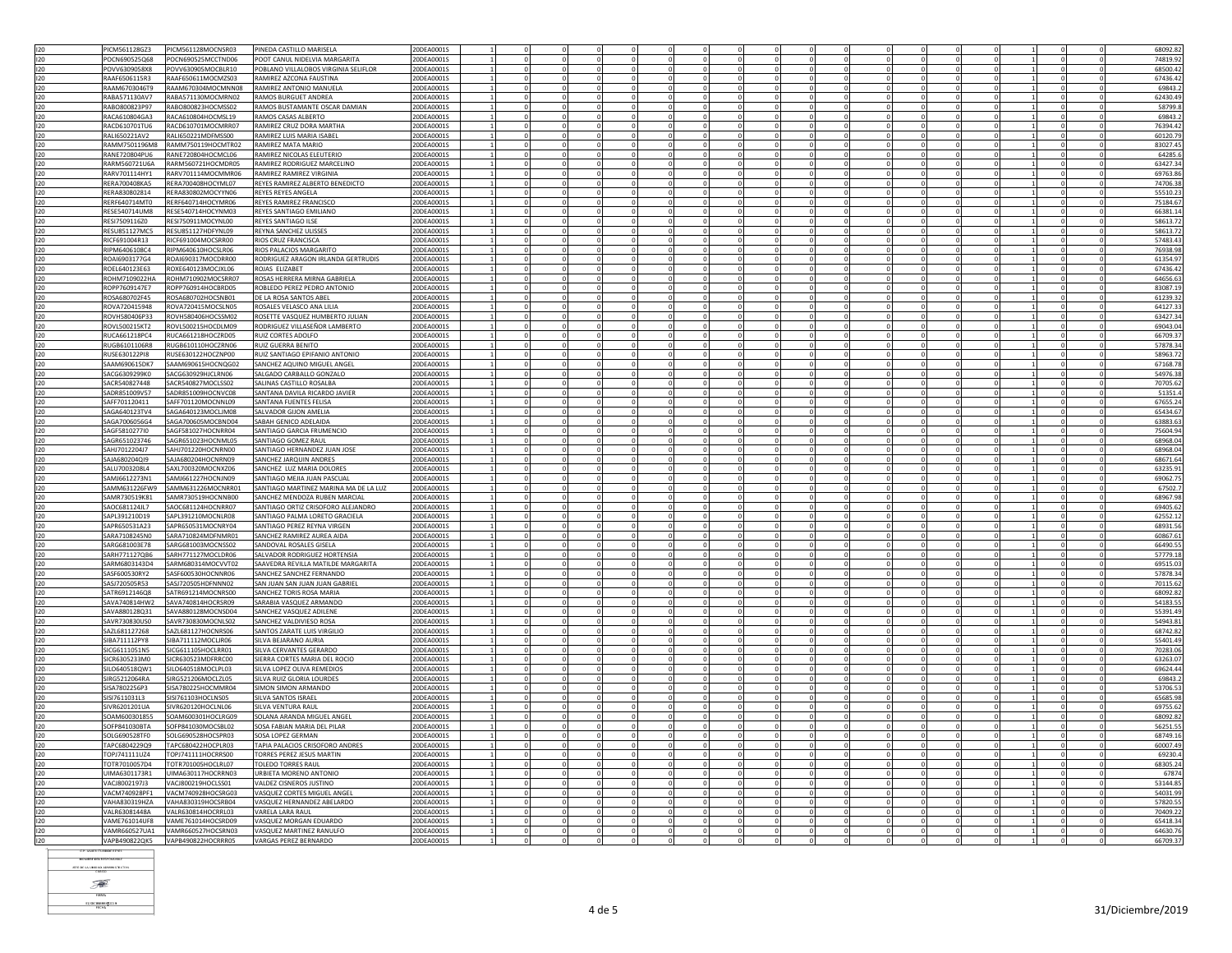|            | PICM561128GZ3                  | PICM561128MOCNSR03                       | PINEDA CASTILLO MARISELA                          | 20DEA00019               |  |            |  |              |             |  |  |                |                | 68092.82             |
|------------|--------------------------------|------------------------------------------|---------------------------------------------------|--------------------------|--|------------|--|--------------|-------------|--|--|----------------|----------------|----------------------|
|            |                                |                                          |                                                   |                          |  |            |  |              |             |  |  |                |                |                      |
| 120        | POCN690525Q68                  | POCN690525MCCTND06                       | POOT CANUL NIDELVIA MARGARITA                     | 20DEA0001S               |  |            |  |              |             |  |  |                |                | 74819.92             |
| 120        | <b>RXR209052X8</b>             | POVV630905MOCBLR10                       | POBLANO VILLALOBOS VIRGINIA SELIFLOR              | 20DEA0001S               |  |            |  |              |             |  |  |                | $\Omega$       | 68500.42             |
| 120        | RAAF6506115R3                  | RAAF650611MOCMZS03                       | RAMIREZ AZCONA FAUSTINA                           | 20DEA0001S               |  |            |  |              |             |  |  |                |                | 67436.42             |
|            | RAAM6703046T9                  | RAAM670304MOCMNN08                       | RAMIREZ ANTONIO MANUELA                           |                          |  |            |  | $\Omega$     |             |  |  | $\Omega$       |                | 69843.               |
| 120        |                                |                                          |                                                   | 20DEA0001S               |  |            |  |              |             |  |  |                |                |                      |
| 120        | RABA571130AV7                  | RABA571130MOCMRN02                       | RAMOS BURGUET ANDREA                              | 20DEA0001S               |  |            |  |              |             |  |  |                |                | 62430.49             |
| 120        | RABO800823P97                  | RABO800823HOCMSS02                       | RAMOS BUSTAMANTE OSCAR DAMIAN                     | 20DEA0001S               |  |            |  | $\Omega$     |             |  |  | $\Omega$       | $\Omega$       | 58799.8              |
| 120        | RACA610804GA3                  | RACA610804HOCMSL19                       | RAMOS CASAS ALBERTO                               | 20DEA0001S               |  |            |  |              |             |  |  | $^{\circ}$     |                | 69843.2              |
|            |                                |                                          |                                                   |                          |  |            |  |              |             |  |  |                |                |                      |
| 120        | RACD610701TU6                  | RACD610701MOCMRR07                       | <b>RAMIREZ CRUZ DORA MARTHA</b>                   | 20DEA0001S               |  | $\Omega$   |  | $\Omega$     | $\Omega$    |  |  | $\Omega$       | $\Omega$       | 76394.42             |
| 120        | RALI650221AV2                  | RALI650221MDFMSS00                       | RAMIREZ LUIS MARIA ISABEL                         | 20DEA0001S               |  |            |  | $\Omega$     |             |  |  |                |                | 60120.79             |
| 120        | RAMM7501196M8                  | RAMM750119HOCMTR02                       | <b>RAMIREZ MATA MARIO</b>                         | 20DEA0001S               |  | $\Omega$   |  | $\Omega$     | $\mathbf 0$ |  |  |                | $\mathbf{0}$   | 83027.45             |
| 120        | RANE720804PU6                  | RANE720804HOCMCL06                       | RAMIREZ NICOLAS ELEUTERIO                         | 20DEA0001S               |  |            |  |              |             |  |  |                |                | 64285.6              |
|            |                                |                                          |                                                   |                          |  |            |  |              |             |  |  |                |                |                      |
| 120        | RARM560721U6A                  | RARM560721HOCMDR05                       | RAMIREZ RODRIGUEZ MARCELINO                       | 20DEA0001S               |  |            |  |              |             |  |  |                |                | 63427.34             |
| 120        | RARV701114HY1                  | RARV701114MOCMMR06                       | RAMIREZ RAMIREZ VIRGINIA                          | 20DEA0001S               |  |            |  | $\Omega$     |             |  |  |                |                | 69763.8              |
| 120        | RERA700408KA5                  | RERA700408HOCYML07                       | REYES RAMIREZ ALBERTO BENEDICTO                   | 20DEA0001S               |  |            |  | $\mathbf 0$  |             |  |  |                |                | 74706.38             |
| 120        | RFRA830802814                  | RERA830802MOCYYN06                       | <b>REYES REYES ANGELA</b>                         | 0DEA0001S                |  |            |  |              |             |  |  |                | $\Omega$       | 55510.23             |
|            |                                |                                          |                                                   |                          |  |            |  | $\Omega$     |             |  |  | $\Omega$       |                |                      |
| 120        | RERF640714MT0                  | RERF640714HOCYMR06                       | REYES RAMIREZ FRANCISCO                           | ODEA0001S                |  |            |  |              |             |  |  |                |                | 75184.67             |
| 120        | RESE540714UM8                  | RESE540714HOCYNM03                       | REYES SANTIAGO EMILIANO                           | 20DEA0001S               |  | $\Omega$   |  | $\bigcap$    | $\Omega$    |  |  | $\Omega$       | $\Omega$       | 66381.14             |
| 120        | RESI7509116Z0                  | RESI750911MOCYNL00                       | <b>REYES SANTIAGO ILSE</b>                        | 20DEA0001S               |  |            |  |              |             |  |  |                |                | 58613.72             |
| 120        | <b>RESU851127MC5</b>           | RESU851127HDFYNL09                       | REYNA SANCHEZ ULISSES                             | 20DEA0001S               |  |            |  | $\Omega$     |             |  |  | $\Omega$       |                | 58613.72             |
|            |                                |                                          |                                                   |                          |  | $^{\circ}$ |  |              | $^{\circ}$  |  |  |                | $^{\circ}$     |                      |
| 120        | RICF691004R13                  | RICF691004MOCSRR00                       | RIOS CRUZ FRANCISCA                               | 20DEA0001S               |  |            |  |              |             |  |  |                |                | 57483.43             |
| 120        | RIPM6406108C4                  | RIPM640610HOCSLR06                       | RIOS PALACIOS MARGARITO                           | 20DEA0001S               |  | $\Omega$   |  | $\Omega$     |             |  |  |                |                | 76938.98             |
| 120        | ROAI6903177G4                  | ROAI690317MOCDRR00                       | RODRIGUEZ ARAGON IRLANDA GERTRUDIS                | 20DEA0001S               |  |            |  |              |             |  |  |                |                | 61354.97             |
|            |                                |                                          |                                                   |                          |  |            |  | $\Omega$     |             |  |  |                |                |                      |
| 120        | ROEL640123E63                  | ROXE640123MOCJXL06                       | ROJAS ELIZABET                                    | 20DEA0001S               |  |            |  |              |             |  |  |                | $\mathbf{0}$   | 67436.42             |
| 120        | ROHM7109022HA                  | ROHM710902MOCSRR07                       | ROSAS HERRERA MIRNA GABRIELA                      | 0DEA0001S                |  |            |  | $\Omega$     |             |  |  | $\Omega$       | $\Omega$       | 64656.63             |
| 120        | ROPP7609147E7                  | ROPP760914HOCBRD05                       | ROBLEDO PEREZ PEDRO ANTONIO                       | 20DEA0001S               |  |            |  |              |             |  |  |                |                | 83087.19             |
| 120        | ROSA680702F45                  | ROSA680702HOCSNB01                       | DE LA ROSA SANTOS ABEL                            | 20DEA0001S               |  |            |  | $\Omega$     |             |  |  |                |                | 61239.32             |
|            |                                |                                          |                                                   |                          |  |            |  |              |             |  |  |                |                |                      |
| 120        | ROVA720415948                  | ROVA720415MOCSLN05                       | ROSALES VELASCO ANA LILIA                         | 20DEA0001S               |  |            |  |              |             |  |  |                |                | 64127.33             |
| 120        | ROVH580406P33                  | ROVH580406HOCSSM02                       | ROSETTE VASQUEZ HUMBERTO JULIAN                   | 20DEA0001S               |  | $^{\circ}$ |  | $\Omega$     | $^{\circ}$  |  |  | $^{\circ}$     | $\overline{0}$ | 63427.34             |
| 120        | ROVL500215KT2                  | ROVL500215HOCDLM09                       | RODRIGUEZ VILLASEÑOR LAMBERTO                     | 20DEA0001S               |  |            |  |              |             |  |  |                | $\mathbf{0}$   | 69043.04             |
| 120        | RUCA661218PC4                  | RUCA661218HOCZRD05                       | RUIZ CORTES ADOLFO                                | 20DEA0001S               |  | $\Omega$   |  | $\Omega$     | $\Omega$    |  |  |                |                | 66709.3              |
|            |                                |                                          |                                                   |                          |  |            |  |              |             |  |  |                |                |                      |
| 120        | RUGB6101106R8                  | RUGB610110HOCZRN06                       | RUIZ GUERRA BENITO                                | 20DEA0001S               |  |            |  |              |             |  |  |                |                | 57878.34             |
| 120        | RUSE630122PI8                  | RUSE630122HOCZNP00                       | RUIZ SANTIAGO EPIFANIO ANTONIO                    | 20DEA0001S               |  |            |  | $\Omega$     |             |  |  |                | $\mathbf 0$    | 58963.72             |
| 120        | SAAM690615DK7                  | SAAM690615HOCNQG02                       | SANCHEZ AQUINO MIGUEL ANGEL                       | 20DEA0001S               |  |            |  |              |             |  |  |                |                | 67168.78             |
| 120        | SACG6309299K0                  | SACG630929HJCLRN06                       | SALGADO CARBALLO GONZALO                          | 20DEA0001S               |  |            |  |              |             |  |  |                |                | 54976.38             |
|            |                                |                                          |                                                   |                          |  |            |  |              |             |  |  |                |                |                      |
| 120        | SACR540827448                  | SACR540827MOCLSS02                       | SALINAS CASTILLO ROSALBA                          | 20DEA0001S               |  |            |  | $\Omega$     |             |  |  |                |                | 70705.62             |
| 120        | SADR851009V57                  | SADR851009HOCNVC08                       | SANTANA DAVILA RICARDO JAVIER                     | 20DEA0001S               |  |            |  |              |             |  |  |                |                | 51351.4              |
| 120        | SAFF701120411                  | SAFF701120MOCNNL09                       | SANTANA FUENTES FELISA                            | 20DEA0001S               |  |            |  | $\Omega$     | $\Omega$    |  |  | $\Omega$       | $\Omega$       | 67655.24             |
| 120        | SAGA640123TV4                  | SAGA640123MOCLIM08                       | SALVADOR GIJON AMELIA                             | 20DEA0001S               |  |            |  |              |             |  |  |                |                | 65434.67             |
|            |                                |                                          |                                                   |                          |  |            |  |              |             |  |  |                |                |                      |
| 120        | SAGA7006056G4                  | SAGA700605MOCBND04                       | SABAH GENICO ADELAIDA                             | 20DEA0001S               |  |            |  | $\sqrt{2}$   |             |  |  |                |                | 63883.63             |
| 120        | SAGF5810277I0                  | SAGF581027HOCNRR04                       | SANTIAGO GARCIA FRUMENCIO                         | 20DEA0001S               |  |            |  |              |             |  |  |                |                | 75604.94             |
| 120        | SAGR651023746                  | SAGR651023HOCNML05                       | SANTIAGO GOMEZ RAUL                               | 20DEA0001S               |  | $^{\circ}$ |  | $\Omega$     | $^{\circ}$  |  |  | $^{\circ}$     | $^{\circ}$     | 68968.04             |
|            | SAHJ7012204J7                  |                                          |                                                   |                          |  |            |  |              |             |  |  |                |                |                      |
|            |                                |                                          |                                                   |                          |  |            |  |              |             |  |  |                |                |                      |
| 120        |                                | SAHJ701220HOCNRN00                       | SANTIAGO HERNANDEZ JUAN JOSE                      | 0DEA0001S                |  |            |  |              |             |  |  |                | $^{\circ}$     | 68968.04             |
| 120        |                                |                                          | SANCHEZ JARQUIN ANDRES                            | 20DEA0001S               |  | $\Omega$   |  | $\Omega$     | $\Omega$    |  |  |                | $\Omega$       | 68671.64             |
|            | SAJA680204QI9                  | SAJA680204HOCNRN09                       |                                                   |                          |  |            |  | $\Omega$     |             |  |  |                |                |                      |
| 120        | SALU7003208L4                  | SAXL700320MOCNXZ06                       | SANCHEZ LUZ MARIA DOLORES                         | 20DEA0001S               |  |            |  |              |             |  |  |                |                | 63235.91             |
| 120        | SAMJ6612273N1                  | SAMJ661227HOCNJN09                       | SANTIAGO MEJIA JUAN PASCUAL                       | 20DEA0001S               |  |            |  | $\Omega$     | $\mathbf 0$ |  |  |                | $\overline{0}$ | 69062.75             |
| 120        | SAMM631226FW9                  | SAMM631226MOCNRR01                       | SANTIAGO MARTINEZ MARINA MA DE LA LUZ             | 0DEA0001S                |  |            |  | $\Omega$     |             |  |  |                |                | 67502.7              |
| 120        | SAMR730519K81                  | SAMR730519HOCNNB00                       | SANCHEZ MENDOZA RUBEN MARCIAL                     | 20DEA0001S               |  |            |  |              |             |  |  |                |                | 68967.98             |
|            |                                |                                          |                                                   |                          |  |            |  | $\Omega$     |             |  |  |                |                |                      |
| 120        | SAOC681124JL7                  | SAOC681124HOCNRR07                       | SANTIAGO ORTIZ CRISOFORO ALEJANDRO                | 20DEA0001S               |  |            |  |              |             |  |  |                |                | 69405.62             |
| 120        | SAPL391210D19                  | SAPL391210MOCNLR08                       | SANTIAGO PALMA LORETO GRACIELA                    | 20DEA0001S               |  |            |  |              |             |  |  |                |                | 62552.12             |
| 120        | SAPR650531A23                  | SAPR650531MOCNRY04                       | SANTIAGO PEREZ REYNA VIRGEN                       | 20DEA0001S               |  | $^{\circ}$ |  | $\Omega$     | $^{\circ}$  |  |  | $\overline{0}$ | $\overline{0}$ | 68931.56             |
| 120        | ARA7108245N0                   | SARA710824MDFNMR01                       | SANCHEZ RAMIREZ AUREA AIDA                        | ODEA0001S                |  |            |  |              |             |  |  | $\mathbf{0}$   | $\mathbf{0}$   | 60867.61             |
|            |                                |                                          |                                                   |                          |  | $\Omega$   |  | $\Omega$     | $\Omega$    |  |  | $\Omega$       | $\Omega$       |                      |
| 120        | SARG681003E78                  | SARG681003MOCNSS02                       | SANDOVAL ROSALES GISELA                           | 20DEA0001S               |  |            |  |              |             |  |  |                |                | 66490.5              |
| 120        | SARH771127QB6                  | SARH771127MOCLDR06                       | SALVADOR RODRIGUEZ HORTENSIA                      | 20DEA0001S               |  |            |  | $\Omega$     |             |  |  |                | $\Omega$       | 57779.18             |
| 120        | SARM6803143D4                  | SARM680314MOCVVT02                       | SAAVEDRA REVILLA MATILDE MARGARITA                | 20DEA0001S               |  | $\Omega$   |  | $\Omega$     | $^{\circ}$  |  |  | $\Omega$       | $\mathbf 0$    | 69515.03             |
| 120        | SASF600530RY2                  | SASF600530HOCNNR06                       | SANCHEZ SANCHEZ FERNANDO                          | 20DEA0001S               |  |            |  |              |             |  |  |                |                | 57878.34             |
|            |                                |                                          |                                                   |                          |  |            |  |              |             |  |  |                |                |                      |
| 120        | SASJ720505R53                  | SASJ720505HDFNNN02                       | SAN JUAN SAN JUAN JUAN GABRIE                     | 20DEA0001S               |  |            |  |              |             |  |  |                |                | 70115.62             |
| 120        | SATR6912146Q8                  | SATR691214MOCNRS00                       | SANCHEZ TORIS ROSA MARIA                          | 20DEA0001S               |  |            |  | $\Omega$     |             |  |  |                |                | 68092.82             |
| 120        | SAVA740814HW2                  | SAVA740814HOCRSR09                       | SARABIA VASQUEZ ARMANDO                           | 20DEA0001S               |  |            |  | $\mathbf 0$  |             |  |  |                |                | 54183.55             |
| 120        | SAVA880128031                  | SAVA880128MOCNSD04                       | SANCHEZ VASOUEZ ADILENE                           | 20DEA0001S               |  |            |  | $\Omega$     |             |  |  | $\Omega$       | $\Omega$       | 55391.49             |
| 120        | AVR730830US0                   | SAVR730830MOCNLS02                       |                                                   | ODEA00019                |  |            |  |              |             |  |  |                |                | 54943.81             |
|            |                                |                                          | SANCHEZ VALDIVIESO ROSA                           |                          |  |            |  | $\sqrt{2}$   |             |  |  | $\sim$         | $\Omega$       |                      |
| 120        | SAZL681127268                  | SAZL681127HOCNRS06                       | SANTOS ZARATE LUIS VIRGILIC                       | 20DEA0001S               |  |            |  |              |             |  |  |                |                | 68742.82             |
| 120        | SIBA711112PY8                  | SIBA711112MOCLJR06                       | SILVA BEJARANO AURIA                              | 20DEA0001S               |  |            |  | $\mathbf 0$  |             |  |  |                |                | 55401.49             |
| 120        | SICG6111051N5                  | SICG611105HOCLRR01                       | SILVA CERVANTES GERARDO                           | 20DEA0001S               |  | $^{\circ}$ |  | $\Omega$     | $^{\circ}$  |  |  | $^{\circ}$     | $^{\circ}$     | 70283.06             |
| 120        | SICR6305233M0                  | SICR630523MDFRRC00                       | SIERRA CORTES MARIA DEL ROCIO                     | 0DEA0001S                |  |            |  |              |             |  |  |                |                | 63263.07             |
|            |                                |                                          |                                                   |                          |  |            |  | $\Omega$     |             |  |  |                |                |                      |
| 120        | SILO640518QW1                  | SILO640518MOCLPL03                       | SILVA LOPEZ OLIVA REMEDIOS                        | 20DEA0001S               |  |            |  |              |             |  |  |                |                | 69624.44             |
| 120        | SIRG5212064RA                  | SIRG521206MOCLZL05                       | SILVA RUIZ GLORIA LOURDES                         | 20DEA0001S               |  |            |  | $\Omega$     |             |  |  |                |                | 69843.2              |
| 120        | SISA7802256P3                  | SISA780225HOCMMR04                       | SIMON SIMON ARMANDO                               | 20DEA0001S               |  |            |  |              |             |  |  |                |                | 53706.5              |
| 120        | SISI7611031L3                  | SISI761103HOCLNS05                       | SILVA SANTOS ISRAEL                               | 0DFA0001S                |  |            |  |              |             |  |  |                |                | 65685.98             |
|            |                                |                                          |                                                   |                          |  |            |  |              |             |  |  |                |                |                      |
| 120        | SIVR6201201UA                  | SIVR620120HOCLNL06                       | SILVA VENTURA RAUL                                | 0DEA00019                |  |            |  |              |             |  |  |                |                | 69755.62             |
| 120        | SOAM600301855                  | SOAM600301HOCLRG09                       | SOLANA ARANDA MIGUEL ANGEI                        | 20DEA0001S               |  |            |  |              |             |  |  |                |                | 68092.82             |
| 120        | SOFP841030BTA                  | SOFP841030MOCSBL02                       | SOSA FABIAN MARIA DEL PILAR                       | 20DEA0001S               |  |            |  | 0            | $\mathbf 0$ |  |  |                |                | 56251.55             |
| 120        | SOLG690528TE0                  | SOLG690528HOCSPR03                       | SOSA LOPEZ GERMAN                                 | 20DEA0001S               |  | $^{\circ}$ |  | $\Omega$     | $^{\circ}$  |  |  | $^{\circ}$     | $\overline{0}$ | 68749.16             |
|            |                                |                                          |                                                   |                          |  |            |  |              |             |  |  |                |                |                      |
| 120        | APC6804229Q9                   | TAPC680422HOCPLR03                       | TAPIA PALACIOS CRISOFORO ANDRES                   | 20DEA00019               |  |            |  |              |             |  |  |                |                | 60007.49             |
| 120        | TOPJ741111UZ4                  | TOPJ741111HOCRRS00                       | TORRES PEREZ JESUS MARTIN                         | 20DEA0001S               |  |            |  | $\Omega$     |             |  |  |                |                | 69230.4              |
| 120        | TOTR7010057D4                  | TOTR701005HOCLRL07                       | TOLEDO TORRES RAUL                                | 20DEA0001S               |  |            |  |              |             |  |  |                |                | 68305.24             |
| 120        | JIMA6301173R1                  | UIMA630117HOCRRN03                       | URBIETA MORENO ANTONIO                            | 20DEA0001S               |  |            |  |              |             |  |  |                |                | 67874                |
|            |                                |                                          |                                                   |                          |  |            |  |              |             |  |  |                |                |                      |
| 120        | ACJ8002197J3                   | VACJ800219HOCLSS01                       | VALDEZ CISNEROS JUSTINO                           | ODEA00019                |  |            |  |              |             |  |  |                |                | 53144.85             |
| 120        | VACM740928PF1                  | VACM740928HOCSRG03                       | VASQUEZ CORTES MIGUEL ANGE                        | 20DEA0001S               |  |            |  |              |             |  |  |                |                | 54031.99             |
| 120        | VAHA830319HZA                  | VAHA830319HOCSRB04                       | VASQUEZ HERNANDEZ ABELARDO                        | 20DEA0001S               |  |            |  | $\Omega$     |             |  |  |                |                | 57820.55             |
| 120        | VALR63081448A                  | VALR630814HOCRRL03                       | VARELA LARA RAUL                                  | 20DEA0001S               |  |            |  | $\mathbf{0}$ |             |  |  |                |                | 70409.22             |
| 120        | <b>VAME761014UE8</b>           | VAME761014HOCSRD09                       | VASOUEZ MORGAN EDUARDO                            | 20DEA0001S               |  |            |  | $\Omega$     |             |  |  | $\Omega$       | $\Omega$       | 65418.34             |
|            |                                |                                          |                                                   |                          |  |            |  |              |             |  |  |                |                |                      |
| 120<br>120 | /AMR660527UA1<br>VAPB490822QK5 | VAMR660527HOCSRN03<br>VAPB490822HOCRRR05 | VASQUEZ MARTINEZ RANULFO<br>VARGAS PEREZ BERNARDO | 20DEA00019<br>20DEA0001S |  | $\Omega$   |  | $\sim$       |             |  |  | $\Omega$       | $\Omega$       | 64630.76<br>66709.37 |

**NOMINE DEL RESPONSABL** 

**ISTE DE LA UNIDAD ADMINISTRATIVA**  $\begin{picture}(20,20) \put(0,0){\vector(0,1){30}} \put(15,0){\vector(0,1){30}} \put(15,0){\vector(0,1){30}} \put(15,0){\vector(0,1){30}} \put(15,0){\vector(0,1){30}} \put(15,0){\vector(0,1){30}} \put(15,0){\vector(0,1){30}} \put(15,0){\vector(0,1){30}} \put(15,0){\vector(0,1){30}} \put(15,0){\vector(0,1){30}} \put(15,0){\vector(0,1){30}} \put(15,0){\vector(0$ -<br>7888